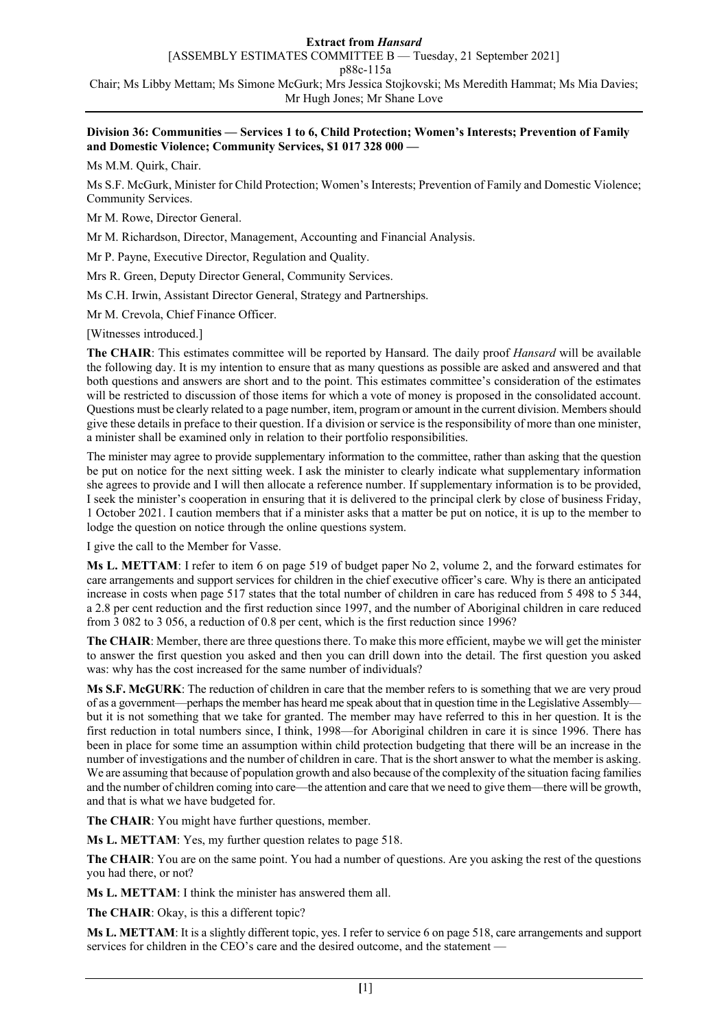#### **Division 36: Communities — Services 1 to 6, Child Protection; Women's Interests; Prevention of Family and Domestic Violence; Community Services, \$1 017 328 000 —**

Ms M.M. Quirk, Chair.

Ms S.F. McGurk, Minister for Child Protection; Women's Interests; Prevention of Family and Domestic Violence; Community Services.

Mr M. Rowe, Director General.

Mr M. Richardson, Director, Management, Accounting and Financial Analysis.

Mr P. Payne, Executive Director, Regulation and Quality.

Mrs R. Green, Deputy Director General, Community Services.

Ms C.H. Irwin, Assistant Director General, Strategy and Partnerships.

Mr M. Crevola, Chief Finance Officer.

[Witnesses introduced.]

**The CHAIR**: This estimates committee will be reported by Hansard. The daily proof *Hansard* will be available the following day. It is my intention to ensure that as many questions as possible are asked and answered and that both questions and answers are short and to the point. This estimates committee's consideration of the estimates will be restricted to discussion of those items for which a vote of money is proposed in the consolidated account. Questions must be clearly related to a page number, item, program or amount in the current division. Members should give these details in preface to their question. If a division or service is the responsibility of more than one minister, a minister shall be examined only in relation to their portfolio responsibilities.

The minister may agree to provide supplementary information to the committee, rather than asking that the question be put on notice for the next sitting week. I ask the minister to clearly indicate what supplementary information she agrees to provide and I will then allocate a reference number. If supplementary information is to be provided, I seek the minister's cooperation in ensuring that it is delivered to the principal clerk by close of business Friday, 1 October 2021. I caution members that if a minister asks that a matter be put on notice, it is up to the member to lodge the question on notice through the online questions system.

I give the call to the Member for Vasse.

**Ms L. METTAM**: I refer to item 6 on page 519 of budget paper No 2, volume 2, and the forward estimates for care arrangements and support services for children in the chief executive officer's care. Why is there an anticipated increase in costs when page 517 states that the total number of children in care has reduced from 5 498 to 5 344, a 2.8 per cent reduction and the first reduction since 1997, and the number of Aboriginal children in care reduced from 3 082 to 3 056, a reduction of 0.8 per cent, which is the first reduction since 1996?

**The CHAIR**: Member, there are three questions there. To make this more efficient, maybe we will get the minister to answer the first question you asked and then you can drill down into the detail. The first question you asked was: why has the cost increased for the same number of individuals?

**Ms S.F. McGURK**: The reduction of children in care that the member refers to is something that we are very proud of as a government—perhaps the member has heard me speak about that in question time in the Legislative Assembly but it is not something that we take for granted. The member may have referred to this in her question. It is the first reduction in total numbers since, I think, 1998—for Aboriginal children in care it is since 1996. There has been in place for some time an assumption within child protection budgeting that there will be an increase in the number of investigations and the number of children in care. That is the short answer to what the member is asking. We are assuming that because of population growth and also because of the complexity of the situation facing families and the number of children coming into care—the attention and care that we need to give them—there will be growth, and that is what we have budgeted for.

**The CHAIR**: You might have further questions, member.

**Ms L. METTAM**: Yes, my further question relates to page 518.

**The CHAIR**: You are on the same point. You had a number of questions. Are you asking the rest of the questions you had there, or not?

**Ms L. METTAM**: I think the minister has answered them all.

**The CHAIR**: Okay, is this a different topic?

**Ms L. METTAM**: It is a slightly different topic, yes. I refer to service 6 on page 518, care arrangements and support services for children in the CEO's care and the desired outcome, and the statement —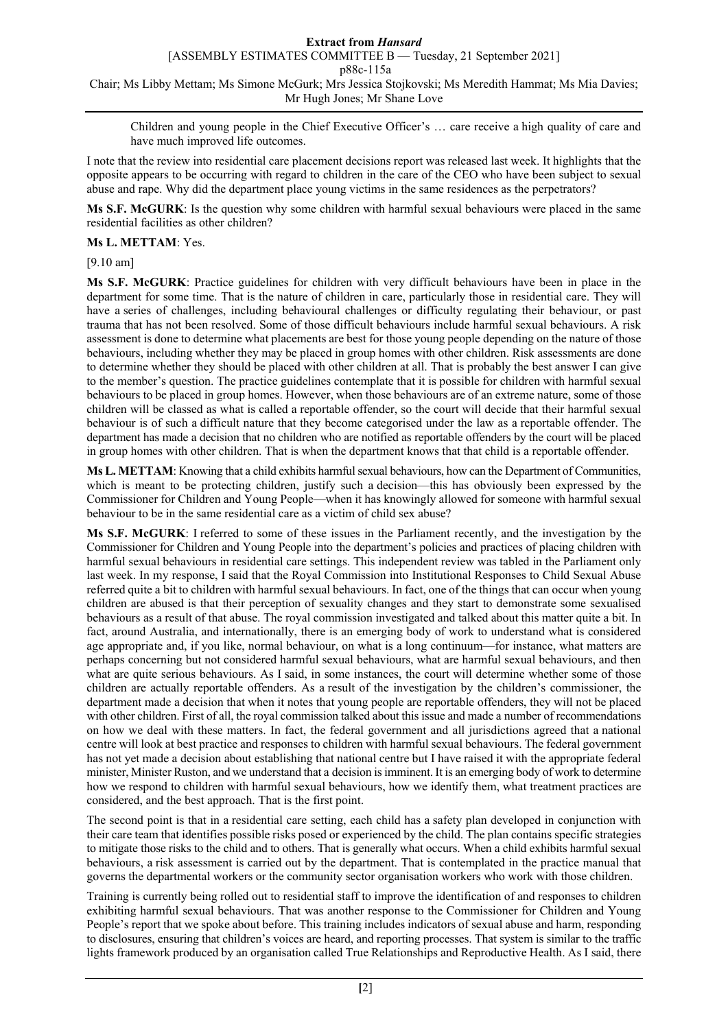[ASSEMBLY ESTIMATES COMMITTEE B — Tuesday, 21 September 2021]

p88c-115a

Chair; Ms Libby Mettam; Ms Simone McGurk; Mrs Jessica Stojkovski; Ms Meredith Hammat; Ms Mia Davies; Mr Hugh Jones; Mr Shane Love

Children and young people in the Chief Executive Officer's … care receive a high quality of care and have much improved life outcomes.

I note that the review into residential care placement decisions report was released last week. It highlights that the opposite appears to be occurring with regard to children in the care of the CEO who have been subject to sexual abuse and rape. Why did the department place young victims in the same residences as the perpetrators?

**Ms S.F. McGURK**: Is the question why some children with harmful sexual behaviours were placed in the same residential facilities as other children?

### **Ms L. METTAM**: Yes.

[9.10 am]

**Ms S.F. McGURK**: Practice guidelines for children with very difficult behaviours have been in place in the department for some time. That is the nature of children in care, particularly those in residential care. They will have a series of challenges, including behavioural challenges or difficulty regulating their behaviour, or past trauma that has not been resolved. Some of those difficult behaviours include harmful sexual behaviours. A risk assessment is done to determine what placements are best for those young people depending on the nature of those behaviours, including whether they may be placed in group homes with other children. Risk assessments are done to determine whether they should be placed with other children at all. That is probably the best answer I can give to the member's question. The practice guidelines contemplate that it is possible for children with harmful sexual behaviours to be placed in group homes. However, when those behaviours are of an extreme nature, some of those children will be classed as what is called a reportable offender, so the court will decide that their harmful sexual behaviour is of such a difficult nature that they become categorised under the law as a reportable offender. The department has made a decision that no children who are notified as reportable offenders by the court will be placed in group homes with other children. That is when the department knows that that child is a reportable offender.

**Ms L. METTAM**: Knowing that a child exhibits harmful sexual behaviours, how can the Department of Communities, which is meant to be protecting children, justify such a decision—this has obviously been expressed by the Commissioner for Children and Young People—when it has knowingly allowed for someone with harmful sexual behaviour to be in the same residential care as a victim of child sex abuse?

**Ms S.F. McGURK**: I referred to some of these issues in the Parliament recently, and the investigation by the Commissioner for Children and Young People into the department's policies and practices of placing children with harmful sexual behaviours in residential care settings. This independent review was tabled in the Parliament only last week. In my response, I said that the Royal Commission into Institutional Responses to Child Sexual Abuse referred quite a bit to children with harmful sexual behaviours. In fact, one of the things that can occur when young children are abused is that their perception of sexuality changes and they start to demonstrate some sexualised behaviours as a result of that abuse. The royal commission investigated and talked about this matter quite a bit. In fact, around Australia, and internationally, there is an emerging body of work to understand what is considered age appropriate and, if you like, normal behaviour, on what is a long continuum—for instance, what matters are perhaps concerning but not considered harmful sexual behaviours, what are harmful sexual behaviours, and then what are quite serious behaviours. As I said, in some instances, the court will determine whether some of those children are actually reportable offenders. As a result of the investigation by the children's commissioner, the department made a decision that when it notes that young people are reportable offenders, they will not be placed with other children. First of all, the royal commission talked about this issue and made a number of recommendations on how we deal with these matters. In fact, the federal government and all jurisdictions agreed that a national centre will look at best practice and responses to children with harmful sexual behaviours. The federal government has not yet made a decision about establishing that national centre but I have raised it with the appropriate federal minister, Minister Ruston, and we understand that a decision is imminent. It is an emerging body of work to determine how we respond to children with harmful sexual behaviours, how we identify them, what treatment practices are considered, and the best approach. That is the first point.

The second point is that in a residential care setting, each child has a safety plan developed in conjunction with their care team that identifies possible risks posed or experienced by the child. The plan contains specific strategies to mitigate those risks to the child and to others. That is generally what occurs. When a child exhibits harmful sexual behaviours, a risk assessment is carried out by the department. That is contemplated in the practice manual that governs the departmental workers or the community sector organisation workers who work with those children.

Training is currently being rolled out to residential staff to improve the identification of and responses to children exhibiting harmful sexual behaviours. That was another response to the Commissioner for Children and Young People's report that we spoke about before. This training includes indicators of sexual abuse and harm, responding to disclosures, ensuring that children's voices are heard, and reporting processes. That system is similar to the traffic lights framework produced by an organisation called True Relationships and Reproductive Health. As I said, there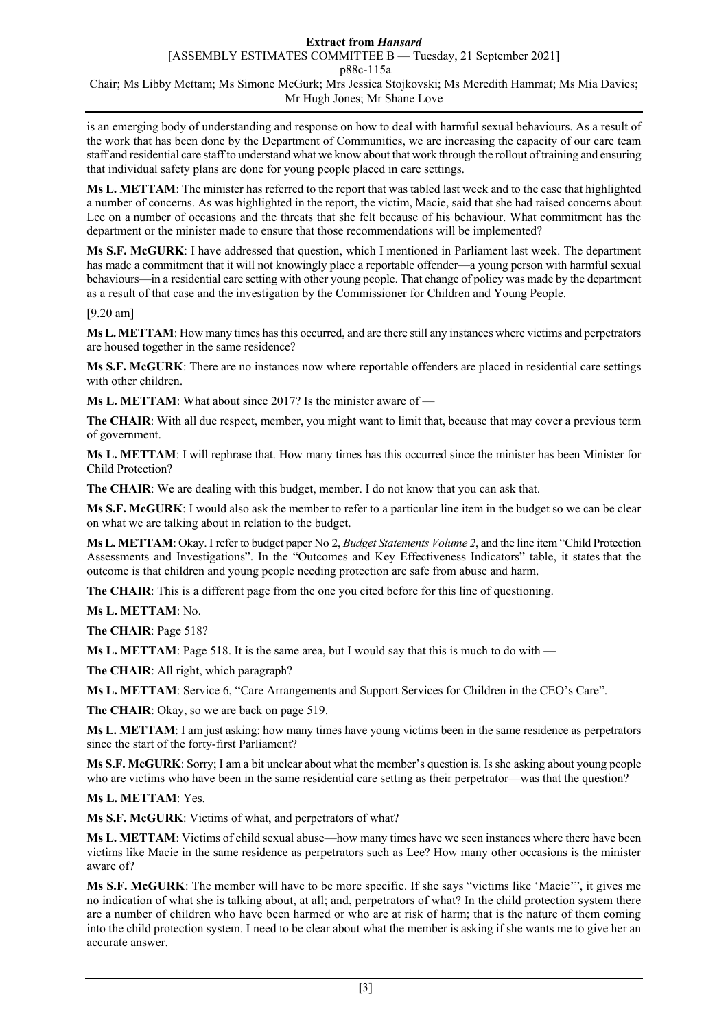is an emerging body of understanding and response on how to deal with harmful sexual behaviours. As a result of the work that has been done by the Department of Communities, we are increasing the capacity of our care team staff and residential care staff to understand what we know about that work through the rollout of training and ensuring that individual safety plans are done for young people placed in care settings.

**Ms L. METTAM**: The minister has referred to the report that was tabled last week and to the case that highlighted a number of concerns. As was highlighted in the report, the victim, Macie, said that she had raised concerns about Lee on a number of occasions and the threats that she felt because of his behaviour. What commitment has the department or the minister made to ensure that those recommendations will be implemented?

**Ms S.F. McGURK**: I have addressed that question, which I mentioned in Parliament last week. The department has made a commitment that it will not knowingly place a reportable offender—a young person with harmful sexual behaviours—in a residential care setting with other young people. That change of policy was made by the department as a result of that case and the investigation by the Commissioner for Children and Young People.

[9.20 am]

**Ms L. METTAM**: How many times has this occurred, and are there still any instances where victims and perpetrators are housed together in the same residence?

**Ms S.F. McGURK**: There are no instances now where reportable offenders are placed in residential care settings with other children.

**Ms L. METTAM**: What about since 2017? Is the minister aware of —

**The CHAIR**: With all due respect, member, you might want to limit that, because that may cover a previous term of government.

**Ms L. METTAM**: I will rephrase that. How many times has this occurred since the minister has been Minister for Child Protection?

**The CHAIR**: We are dealing with this budget, member. I do not know that you can ask that.

**Ms S.F. McGURK**: I would also ask the member to refer to a particular line item in the budget so we can be clear on what we are talking about in relation to the budget.

**Ms L. METTAM**: Okay. I refer to budget paper No 2, *Budget Statements Volume 2*, and the line item "Child Protection Assessments and Investigations". In the "Outcomes and Key Effectiveness Indicators" table, it states that the outcome is that children and young people needing protection are safe from abuse and harm.

**The CHAIR**: This is a different page from the one you cited before for this line of questioning.

**Ms L. METTAM**: No.

**The CHAIR**: Page 518?

**Ms L. METTAM**: Page 518. It is the same area, but I would say that this is much to do with —

**The CHAIR**: All right, which paragraph?

**Ms L. METTAM**: Service 6, "Care Arrangements and Support Services for Children in the CEO's Care".

**The CHAIR**: Okay, so we are back on page 519.

**Ms L. METTAM**: I am just asking: how many times have young victims been in the same residence as perpetrators since the start of the forty-first Parliament?

**Ms S.F. McGURK**: Sorry; I am a bit unclear about what the member's question is. Is she asking about young people who are victims who have been in the same residential care setting as their perpetrator—was that the question?

**Ms L. METTAM**: Yes.

**Ms S.F. McGURK**: Victims of what, and perpetrators of what?

**Ms L. METTAM**: Victims of child sexual abuse—how many times have we seen instances where there have been victims like Macie in the same residence as perpetrators such as Lee? How many other occasions is the minister aware of?

**Ms S.F. McGURK**: The member will have to be more specific. If she says "victims like 'Macie'", it gives me no indication of what she is talking about, at all; and, perpetrators of what? In the child protection system there are a number of children who have been harmed or who are at risk of harm; that is the nature of them coming into the child protection system. I need to be clear about what the member is asking if she wants me to give her an accurate answer.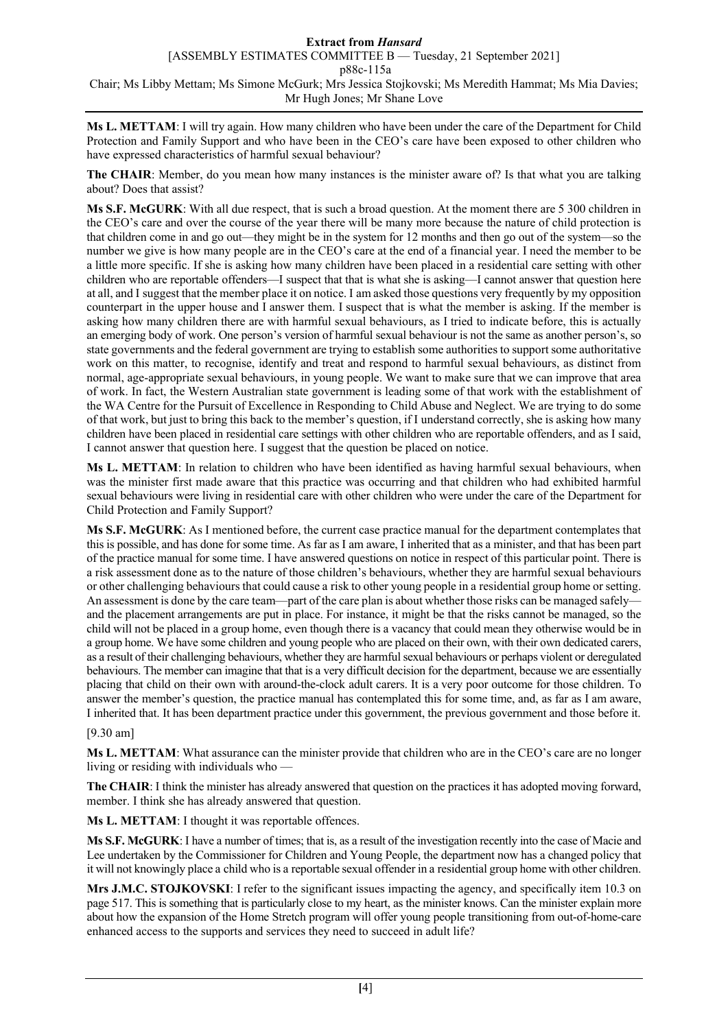[ASSEMBLY ESTIMATES COMMITTEE B — Tuesday, 21 September 2021]

p88c-115a

Chair; Ms Libby Mettam; Ms Simone McGurk; Mrs Jessica Stojkovski; Ms Meredith Hammat; Ms Mia Davies; Mr Hugh Jones; Mr Shane Love

**Ms L. METTAM**: I will try again. How many children who have been under the care of the Department for Child Protection and Family Support and who have been in the CEO's care have been exposed to other children who have expressed characteristics of harmful sexual behaviour?

**The CHAIR**: Member, do you mean how many instances is the minister aware of? Is that what you are talking about? Does that assist?

**Ms S.F. McGURK**: With all due respect, that is such a broad question. At the moment there are 5 300 children in the CEO's care and over the course of the year there will be many more because the nature of child protection is that children come in and go out—they might be in the system for 12 months and then go out of the system—so the number we give is how many people are in the CEO's care at the end of a financial year. I need the member to be a little more specific. If she is asking how many children have been placed in a residential care setting with other children who are reportable offenders—I suspect that that is what she is asking—I cannot answer that question here at all, and I suggest that the member place it on notice. I am asked those questions very frequently by my opposition counterpart in the upper house and I answer them. I suspect that is what the member is asking. If the member is asking how many children there are with harmful sexual behaviours, as I tried to indicate before, this is actually an emerging body of work. One person's version of harmful sexual behaviour is not the same as another person's, so state governments and the federal government are trying to establish some authorities to support some authoritative work on this matter, to recognise, identify and treat and respond to harmful sexual behaviours, as distinct from normal, age-appropriate sexual behaviours, in young people. We want to make sure that we can improve that area of work. In fact, the Western Australian state government is leading some of that work with the establishment of the WA Centre for the Pursuit of Excellence in Responding to Child Abuse and Neglect. We are trying to do some of that work, but just to bring this back to the member's question, if I understand correctly, she is asking how many children have been placed in residential care settings with other children who are reportable offenders, and as I said, I cannot answer that question here. I suggest that the question be placed on notice.

**Ms L. METTAM**: In relation to children who have been identified as having harmful sexual behaviours, when was the minister first made aware that this practice was occurring and that children who had exhibited harmful sexual behaviours were living in residential care with other children who were under the care of the Department for Child Protection and Family Support?

**Ms S.F. McGURK**: As I mentioned before, the current case practice manual for the department contemplates that this is possible, and has done for some time. As far as I am aware, I inherited that as a minister, and that has been part of the practice manual for some time. I have answered questions on notice in respect of this particular point. There is a risk assessment done as to the nature of those children's behaviours, whether they are harmful sexual behaviours or other challenging behaviours that could cause a risk to other young people in a residential group home or setting. An assessment is done by the care team—part of the care plan is about whether those risks can be managed safely and the placement arrangements are put in place. For instance, it might be that the risks cannot be managed, so the child will not be placed in a group home, even though there is a vacancy that could mean they otherwise would be in a group home. We have some children and young people who are placed on their own, with their own dedicated carers, as a result of their challenging behaviours, whether they are harmful sexual behaviours or perhaps violent or deregulated behaviours. The member can imagine that that is a very difficult decision for the department, because we are essentially placing that child on their own with around-the-clock adult carers. It is a very poor outcome for those children. To answer the member's question, the practice manual has contemplated this for some time, and, as far as I am aware, I inherited that. It has been department practice under this government, the previous government and those before it.

### [9.30 am]

**Ms L. METTAM**: What assurance can the minister provide that children who are in the CEO's care are no longer living or residing with individuals who —

**The CHAIR**: I think the minister has already answered that question on the practices it has adopted moving forward, member. I think she has already answered that question.

**Ms L. METTAM**: I thought it was reportable offences.

**Ms S.F. McGURK**: I have a number of times; that is, as a result of the investigation recently into the case of Macie and Lee undertaken by the Commissioner for Children and Young People, the department now has a changed policy that it will not knowingly place a child who is a reportable sexual offender in a residential group home with other children.

**Mrs J.M.C. STOJKOVSKI**: I refer to the significant issues impacting the agency, and specifically item 10.3 on page 517. This is something that is particularly close to my heart, as the minister knows. Can the minister explain more about how the expansion of the Home Stretch program will offer young people transitioning from out-of-home-care enhanced access to the supports and services they need to succeed in adult life?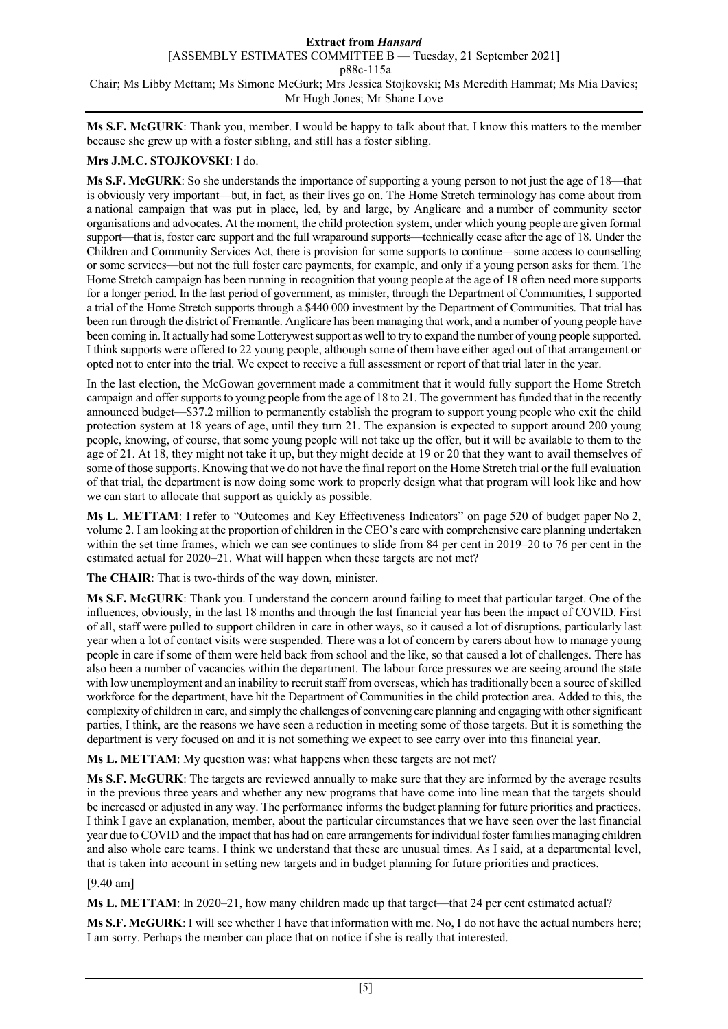[ASSEMBLY ESTIMATES COMMITTEE B — Tuesday, 21 September 2021]

p88c-115a

Chair; Ms Libby Mettam; Ms Simone McGurk; Mrs Jessica Stojkovski; Ms Meredith Hammat; Ms Mia Davies; Mr Hugh Jones; Mr Shane Love

**Ms S.F. McGURK**: Thank you, member. I would be happy to talk about that. I know this matters to the member because she grew up with a foster sibling, and still has a foster sibling.

### **Mrs J.M.C. STOJKOVSKI**: I do.

**Ms S.F. McGURK**: So she understands the importance of supporting a young person to not just the age of 18—that is obviously very important—but, in fact, as their lives go on. The Home Stretch terminology has come about from a national campaign that was put in place, led, by and large, by Anglicare and a number of community sector organisations and advocates. At the moment, the child protection system, under which young people are given formal support—that is, foster care support and the full wraparound supports—technically cease after the age of 18. Under the Children and Community Services Act, there is provision for some supports to continue—some access to counselling or some services—but not the full foster care payments, for example, and only if a young person asks for them. The Home Stretch campaign has been running in recognition that young people at the age of 18 often need more supports for a longer period. In the last period of government, as minister, through the Department of Communities, I supported a trial of the Home Stretch supports through a \$440 000 investment by the Department of Communities. That trial has been run through the district of Fremantle. Anglicare has been managing that work, and a number of young people have been coming in. It actually had some Lotterywest support as well to try to expand the number of young people supported. I think supports were offered to 22 young people, although some of them have either aged out of that arrangement or opted not to enter into the trial. We expect to receive a full assessment or report of that trial later in the year.

In the last election, the McGowan government made a commitment that it would fully support the Home Stretch campaign and offer supports to young people from the age of 18 to 21. The government has funded that in the recently announced budget—\$37.2 million to permanently establish the program to support young people who exit the child protection system at 18 years of age, until they turn 21. The expansion is expected to support around 200 young people, knowing, of course, that some young people will not take up the offer, but it will be available to them to the age of 21. At 18, they might not take it up, but they might decide at 19 or 20 that they want to avail themselves of some of those supports. Knowing that we do not have the final report on the Home Stretch trial or the full evaluation of that trial, the department is now doing some work to properly design what that program will look like and how we can start to allocate that support as quickly as possible.

**Ms L. METTAM**: I refer to "Outcomes and Key Effectiveness Indicators" on page 520 of budget paper No 2, volume 2. I am looking at the proportion of children in the CEO's care with comprehensive care planning undertaken within the set time frames, which we can see continues to slide from 84 per cent in 2019–20 to 76 per cent in the estimated actual for 2020–21. What will happen when these targets are not met?

**The CHAIR**: That is two-thirds of the way down, minister.

**Ms S.F. McGURK**: Thank you. I understand the concern around failing to meet that particular target. One of the influences, obviously, in the last 18 months and through the last financial year has been the impact of COVID. First of all, staff were pulled to support children in care in other ways, so it caused a lot of disruptions, particularly last year when a lot of contact visits were suspended. There was a lot of concern by carers about how to manage young people in care if some of them were held back from school and the like, so that caused a lot of challenges. There has also been a number of vacancies within the department. The labour force pressures we are seeing around the state with low unemployment and an inability to recruit staff from overseas, which has traditionally been a source of skilled workforce for the department, have hit the Department of Communities in the child protection area. Added to this, the complexity of children in care, and simply the challenges of convening care planning and engaging with other significant parties, I think, are the reasons we have seen a reduction in meeting some of those targets. But it is something the department is very focused on and it is not something we expect to see carry over into this financial year.

**Ms L. METTAM**: My question was: what happens when these targets are not met?

**Ms S.F. McGURK**: The targets are reviewed annually to make sure that they are informed by the average results in the previous three years and whether any new programs that have come into line mean that the targets should be increased or adjusted in any way. The performance informs the budget planning for future priorities and practices. I think I gave an explanation, member, about the particular circumstances that we have seen over the last financial year due to COVID and the impact that has had on care arrangements for individual foster families managing children and also whole care teams. I think we understand that these are unusual times. As I said, at a departmental level, that is taken into account in setting new targets and in budget planning for future priorities and practices.

### [9.40 am]

**Ms L. METTAM**: In 2020–21, how many children made up that target—that 24 per cent estimated actual?

**Ms S.F. McGURK**: I will see whether I have that information with me. No, I do not have the actual numbers here; I am sorry. Perhaps the member can place that on notice if she is really that interested.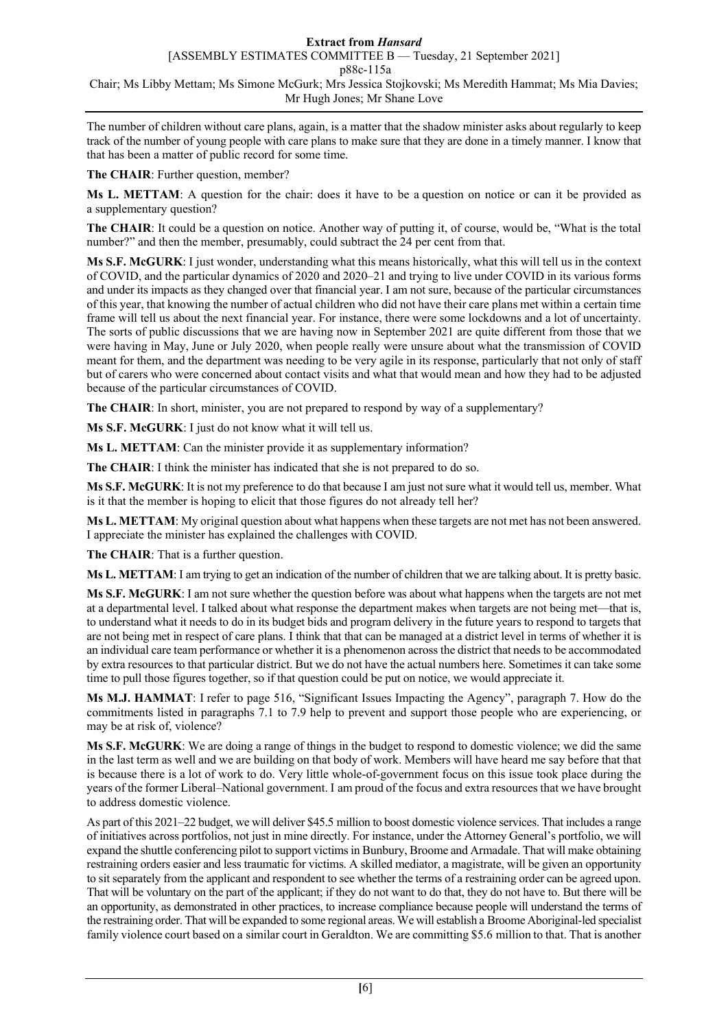[ASSEMBLY ESTIMATES COMMITTEE B — Tuesday, 21 September 2021]

p88c-115a

Chair; Ms Libby Mettam; Ms Simone McGurk; Mrs Jessica Stojkovski; Ms Meredith Hammat; Ms Mia Davies; Mr Hugh Jones; Mr Shane Love

The number of children without care plans, again, is a matter that the shadow minister asks about regularly to keep track of the number of young people with care plans to make sure that they are done in a timely manner. I know that that has been a matter of public record for some time.

**The CHAIR**: Further question, member?

**Ms L. METTAM**: A question for the chair: does it have to be a question on notice or can it be provided as a supplementary question?

**The CHAIR**: It could be a question on notice. Another way of putting it, of course, would be, "What is the total number?" and then the member, presumably, could subtract the 24 per cent from that.

**Ms S.F. McGURK**: I just wonder, understanding what this means historically, what this will tell us in the context of COVID, and the particular dynamics of 2020 and 2020–21 and trying to live under COVID in its various forms and under its impacts as they changed over that financial year. I am not sure, because of the particular circumstances of this year, that knowing the number of actual children who did not have their care plans met within a certain time frame will tell us about the next financial year. For instance, there were some lockdowns and a lot of uncertainty. The sorts of public discussions that we are having now in September 2021 are quite different from those that we were having in May, June or July 2020, when people really were unsure about what the transmission of COVID meant for them, and the department was needing to be very agile in its response, particularly that not only of staff but of carers who were concerned about contact visits and what that would mean and how they had to be adjusted because of the particular circumstances of COVID.

**The CHAIR**: In short, minister, you are not prepared to respond by way of a supplementary?

**Ms S.F. McGURK**: I just do not know what it will tell us.

**Ms L. METTAM**: Can the minister provide it as supplementary information?

**The CHAIR**: I think the minister has indicated that she is not prepared to do so.

**Ms S.F. McGURK**: It is not my preference to do that because I am just not sure what it would tell us, member. What is it that the member is hoping to elicit that those figures do not already tell her?

**Ms L. METTAM**: My original question about what happens when these targets are not met has not been answered. I appreciate the minister has explained the challenges with COVID.

**The CHAIR**: That is a further question.

**Ms L. METTAM**: I am trying to get an indication of the number of children that we are talking about. It is pretty basic.

**Ms S.F. McGURK**: I am not sure whether the question before was about what happens when the targets are not met at a departmental level. I talked about what response the department makes when targets are not being met—that is, to understand what it needs to do in its budget bids and program delivery in the future years to respond to targets that are not being met in respect of care plans. I think that that can be managed at a district level in terms of whether it is an individual care team performance or whether it is a phenomenon across the district that needs to be accommodated by extra resources to that particular district. But we do not have the actual numbers here. Sometimes it can take some time to pull those figures together, so if that question could be put on notice, we would appreciate it.

**Ms M.J. HAMMAT**: I refer to page 516, "Significant Issues Impacting the Agency", paragraph 7. How do the commitments listed in paragraphs 7.1 to 7.9 help to prevent and support those people who are experiencing, or may be at risk of, violence?

**Ms S.F. McGURK**: We are doing a range of things in the budget to respond to domestic violence; we did the same in the last term as well and we are building on that body of work. Members will have heard me say before that that is because there is a lot of work to do. Very little whole-of-government focus on this issue took place during the years of the former Liberal–National government. I am proud of the focus and extra resources that we have brought to address domestic violence.

As part of this 2021–22 budget, we will deliver \$45.5 million to boost domestic violence services. That includes a range of initiatives across portfolios, not just in mine directly. For instance, under the Attorney General's portfolio, we will expand the shuttle conferencing pilot to support victims in Bunbury, Broome and Armadale. That will make obtaining restraining orders easier and less traumatic for victims. A skilled mediator, a magistrate, will be given an opportunity to sit separately from the applicant and respondent to see whether the terms of a restraining order can be agreed upon. That will be voluntary on the part of the applicant; if they do not want to do that, they do not have to. But there will be an opportunity, as demonstrated in other practices, to increase compliance because people will understand the terms of the restraining order. That will be expanded to some regional areas. We will establish a Broome Aboriginal-led specialist family violence court based on a similar court in Geraldton. We are committing \$5.6 million to that. That is another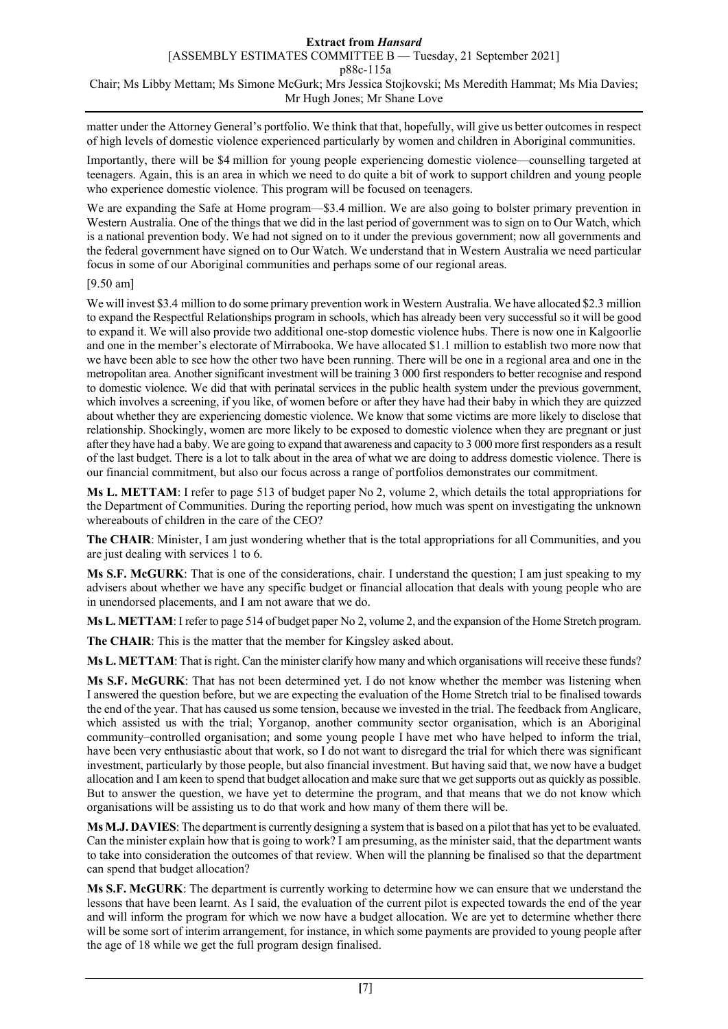matter under the Attorney General's portfolio. We think that that, hopefully, will give us better outcomes in respect of high levels of domestic violence experienced particularly by women and children in Aboriginal communities.

Importantly, there will be \$4 million for young people experiencing domestic violence—counselling targeted at teenagers. Again, this is an area in which we need to do quite a bit of work to support children and young people who experience domestic violence. This program will be focused on teenagers.

We are expanding the Safe at Home program—\$3.4 million. We are also going to bolster primary prevention in Western Australia. One of the things that we did in the last period of government was to sign on to Our Watch, which is a national prevention body. We had not signed on to it under the previous government; now all governments and the federal government have signed on to Our Watch. We understand that in Western Australia we need particular focus in some of our Aboriginal communities and perhaps some of our regional areas.

### [9.50 am]

We will invest \$3.4 million to do some primary prevention work in Western Australia. We have allocated \$2.3 million to expand the Respectful Relationships program in schools, which has already been very successful so it will be good to expand it. We will also provide two additional one-stop domestic violence hubs. There is now one in Kalgoorlie and one in the member's electorate of Mirrabooka. We have allocated \$1.1 million to establish two more now that we have been able to see how the other two have been running. There will be one in a regional area and one in the metropolitan area. Another significant investment will be training 3 000 first responders to better recognise and respond to domestic violence. We did that with perinatal services in the public health system under the previous government, which involves a screening, if you like, of women before or after they have had their baby in which they are quizzed about whether they are experiencing domestic violence. We know that some victims are more likely to disclose that relationship. Shockingly, women are more likely to be exposed to domestic violence when they are pregnant or just after they have had a baby. We are going to expand that awareness and capacity to 3 000 more first responders as a result of the last budget. There is a lot to talk about in the area of what we are doing to address domestic violence. There is our financial commitment, but also our focus across a range of portfolios demonstrates our commitment.

**Ms L. METTAM**: I refer to page 513 of budget paper No 2, volume 2, which details the total appropriations for the Department of Communities. During the reporting period, how much was spent on investigating the unknown whereabouts of children in the care of the CEO?

**The CHAIR**: Minister, I am just wondering whether that is the total appropriations for all Communities, and you are just dealing with services 1 to 6.

**Ms S.F. McGURK**: That is one of the considerations, chair. I understand the question; I am just speaking to my advisers about whether we have any specific budget or financial allocation that deals with young people who are in unendorsed placements, and I am not aware that we do.

**Ms L. METTAM**: I refer to page 514 of budget paper No 2, volume 2, and the expansion of the Home Stretch program.

**The CHAIR**: This is the matter that the member for Kingsley asked about.

**Ms L. METTAM**: That is right. Can the minister clarify how many and which organisations will receive these funds?

**Ms S.F. McGURK**: That has not been determined yet. I do not know whether the member was listening when I answered the question before, but we are expecting the evaluation of the Home Stretch trial to be finalised towards the end of the year. That has caused us some tension, because we invested in the trial. The feedback from Anglicare, which assisted us with the trial; Yorganop, another community sector organisation, which is an Aboriginal community–controlled organisation; and some young people I have met who have helped to inform the trial, have been very enthusiastic about that work, so I do not want to disregard the trial for which there was significant investment, particularly by those people, but also financial investment. But having said that, we now have a budget allocation and I am keen to spend that budget allocation and make sure that we get supports out as quickly as possible. But to answer the question, we have yet to determine the program, and that means that we do not know which organisations will be assisting us to do that work and how many of them there will be.

**Ms M.J. DAVIES**: The department is currently designing a system that is based on a pilot that has yet to be evaluated. Can the minister explain how that is going to work? I am presuming, as the minister said, that the department wants to take into consideration the outcomes of that review. When will the planning be finalised so that the department can spend that budget allocation?

**Ms S.F. McGURK**: The department is currently working to determine how we can ensure that we understand the lessons that have been learnt. As I said, the evaluation of the current pilot is expected towards the end of the year and will inform the program for which we now have a budget allocation. We are yet to determine whether there will be some sort of interim arrangement, for instance, in which some payments are provided to young people after the age of 18 while we get the full program design finalised.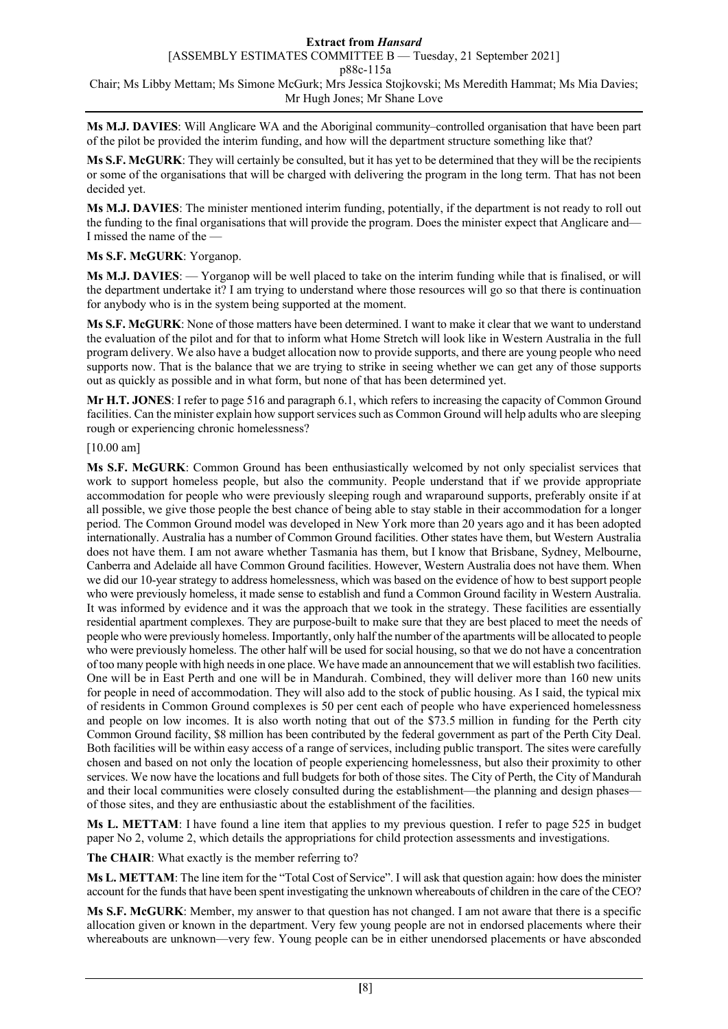[ASSEMBLY ESTIMATES COMMITTEE B — Tuesday, 21 September 2021]

p88c-115a

Chair; Ms Libby Mettam; Ms Simone McGurk; Mrs Jessica Stojkovski; Ms Meredith Hammat; Ms Mia Davies; Mr Hugh Jones; Mr Shane Love

**Ms M.J. DAVIES**: Will Anglicare WA and the Aboriginal community–controlled organisation that have been part of the pilot be provided the interim funding, and how will the department structure something like that?

**Ms S.F. McGURK**: They will certainly be consulted, but it has yet to be determined that they will be the recipients or some of the organisations that will be charged with delivering the program in the long term. That has not been decided yet.

**Ms M.J. DAVIES**: The minister mentioned interim funding, potentially, if the department is not ready to roll out the funding to the final organisations that will provide the program. Does the minister expect that Anglicare and— I missed the name of the —

### **Ms S.F. McGURK**: Yorganop.

**Ms M.J. DAVIES**: — Yorganop will be well placed to take on the interim funding while that is finalised, or will the department undertake it? I am trying to understand where those resources will go so that there is continuation for anybody who is in the system being supported at the moment.

**Ms S.F. McGURK**: None of those matters have been determined. I want to make it clear that we want to understand the evaluation of the pilot and for that to inform what Home Stretch will look like in Western Australia in the full program delivery. We also have a budget allocation now to provide supports, and there are young people who need supports now. That is the balance that we are trying to strike in seeing whether we can get any of those supports out as quickly as possible and in what form, but none of that has been determined yet.

**Mr H.T. JONES**: I refer to page 516 and paragraph 6.1, which refers to increasing the capacity of Common Ground facilities. Can the minister explain how support services such as Common Ground will help adults who are sleeping rough or experiencing chronic homelessness?

### [10.00 am]

**Ms S.F. McGURK**: Common Ground has been enthusiastically welcomed by not only specialist services that work to support homeless people, but also the community. People understand that if we provide appropriate accommodation for people who were previously sleeping rough and wraparound supports, preferably onsite if at all possible, we give those people the best chance of being able to stay stable in their accommodation for a longer period. The Common Ground model was developed in New York more than 20 years ago and it has been adopted internationally. Australia has a number of Common Ground facilities. Other states have them, but Western Australia does not have them. I am not aware whether Tasmania has them, but I know that Brisbane, Sydney, Melbourne, Canberra and Adelaide all have Common Ground facilities. However, Western Australia does not have them. When we did our 10-year strategy to address homelessness, which was based on the evidence of how to best support people who were previously homeless, it made sense to establish and fund a Common Ground facility in Western Australia. It was informed by evidence and it was the approach that we took in the strategy. These facilities are essentially residential apartment complexes. They are purpose-built to make sure that they are best placed to meet the needs of people who were previously homeless. Importantly, only half the number of the apartments will be allocated to people who were previously homeless. The other half will be used for social housing, so that we do not have a concentration of too many people with high needs in one place. We have made an announcement that we will establish two facilities. One will be in East Perth and one will be in Mandurah. Combined, they will deliver more than 160 new units for people in need of accommodation. They will also add to the stock of public housing. As I said, the typical mix of residents in Common Ground complexes is 50 per cent each of people who have experienced homelessness and people on low incomes. It is also worth noting that out of the \$73.5 million in funding for the Perth city Common Ground facility, \$8 million has been contributed by the federal government as part of the Perth City Deal. Both facilities will be within easy access of a range of services, including public transport. The sites were carefully chosen and based on not only the location of people experiencing homelessness, but also their proximity to other services. We now have the locations and full budgets for both of those sites. The City of Perth, the City of Mandurah and their local communities were closely consulted during the establishment—the planning and design phases of those sites, and they are enthusiastic about the establishment of the facilities.

**Ms L. METTAM**: I have found a line item that applies to my previous question. I refer to page 525 in budget paper No 2, volume 2, which details the appropriations for child protection assessments and investigations.

**The CHAIR**: What exactly is the member referring to?

**Ms L. METTAM**: The line item for the "Total Cost of Service". I will ask that question again: how does the minister account for the funds that have been spent investigating the unknown whereabouts of children in the care of the CEO?

**Ms S.F. McGURK**: Member, my answer to that question has not changed. I am not aware that there is a specific allocation given or known in the department. Very few young people are not in endorsed placements where their whereabouts are unknown—very few. Young people can be in either unendorsed placements or have absconded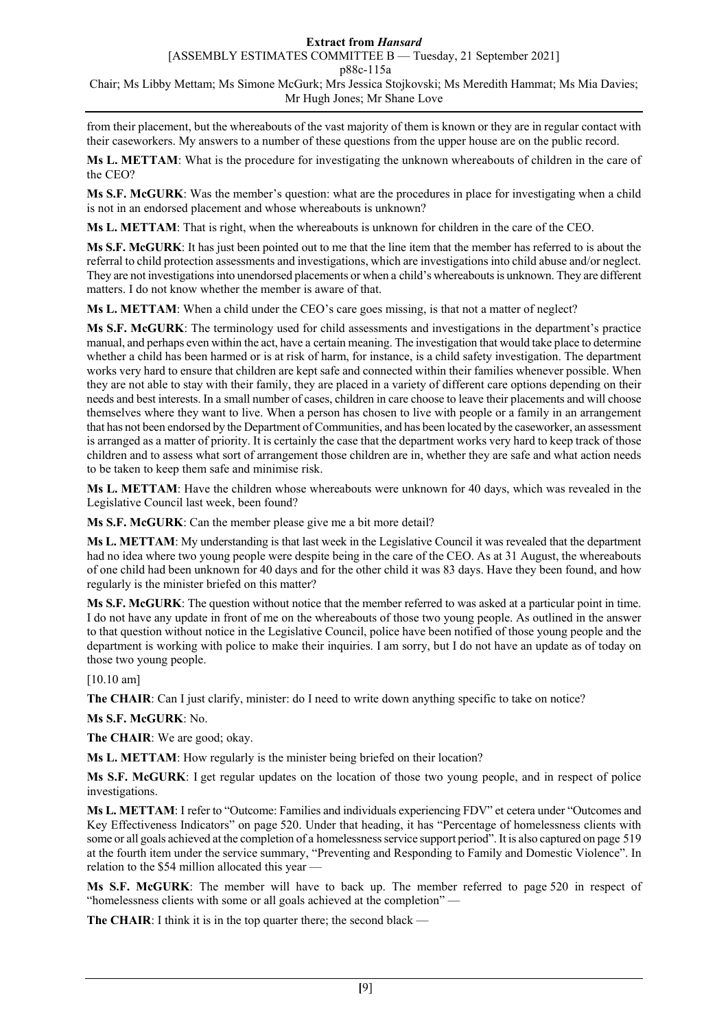### [ASSEMBLY ESTIMATES COMMITTEE B — Tuesday, 21 September 2021]

p88c-115a

Chair; Ms Libby Mettam; Ms Simone McGurk; Mrs Jessica Stojkovski; Ms Meredith Hammat; Ms Mia Davies; Mr Hugh Jones; Mr Shane Love

from their placement, but the whereabouts of the vast majority of them is known or they are in regular contact with their caseworkers. My answers to a number of these questions from the upper house are on the public record.

**Ms L. METTAM**: What is the procedure for investigating the unknown whereabouts of children in the care of the CEO?

**Ms S.F. McGURK**: Was the member's question: what are the procedures in place for investigating when a child is not in an endorsed placement and whose whereabouts is unknown?

**Ms L. METTAM**: That is right, when the whereabouts is unknown for children in the care of the CEO.

**Ms S.F. McGURK**: It has just been pointed out to me that the line item that the member has referred to is about the referral to child protection assessments and investigations, which are investigations into child abuse and/or neglect. They are not investigations into unendorsed placements or when a child's whereabouts is unknown. They are different matters. I do not know whether the member is aware of that.

**Ms L. METTAM**: When a child under the CEO's care goes missing, is that not a matter of neglect?

**Ms S.F. McGURK**: The terminology used for child assessments and investigations in the department's practice manual, and perhaps even within the act, have a certain meaning. The investigation that would take place to determine whether a child has been harmed or is at risk of harm, for instance, is a child safety investigation. The department works very hard to ensure that children are kept safe and connected within their families whenever possible. When they are not able to stay with their family, they are placed in a variety of different care options depending on their needs and best interests. In a small number of cases, children in care choose to leave their placements and will choose themselves where they want to live. When a person has chosen to live with people or a family in an arrangement that has not been endorsed by the Department of Communities, and has been located by the caseworker, an assessment is arranged as a matter of priority. It is certainly the case that the department works very hard to keep track of those children and to assess what sort of arrangement those children are in, whether they are safe and what action needs to be taken to keep them safe and minimise risk.

**Ms L. METTAM**: Have the children whose whereabouts were unknown for 40 days, which was revealed in the Legislative Council last week, been found?

**Ms S.F. McGURK**: Can the member please give me a bit more detail?

**Ms L. METTAM**: My understanding is that last week in the Legislative Council it was revealed that the department had no idea where two young people were despite being in the care of the CEO. As at 31 August, the whereabouts of one child had been unknown for 40 days and for the other child it was 83 days. Have they been found, and how regularly is the minister briefed on this matter?

**Ms S.F. McGURK**: The question without notice that the member referred to was asked at a particular point in time. I do not have any update in front of me on the whereabouts of those two young people. As outlined in the answer to that question without notice in the Legislative Council, police have been notified of those young people and the department is working with police to make their inquiries. I am sorry, but I do not have an update as of today on those two young people.

[10.10 am]

**The CHAIR**: Can I just clarify, minister: do I need to write down anything specific to take on notice?

**Ms S.F. McGURK**: No.

**The CHAIR**: We are good; okay.

**Ms L. METTAM**: How regularly is the minister being briefed on their location?

**Ms S.F. McGURK**: I get regular updates on the location of those two young people, and in respect of police investigations.

**Ms L. METTAM**: I refer to "Outcome: Families and individuals experiencing FDV" et cetera under "Outcomes and Key Effectiveness Indicators" on page 520. Under that heading, it has "Percentage of homelessness clients with some or all goals achieved at the completion of a homelessness service support period". It is also captured on page 519 at the fourth item under the service summary, "Preventing and Responding to Family and Domestic Violence". In relation to the \$54 million allocated this year —

**Ms S.F. McGURK**: The member will have to back up. The member referred to page 520 in respect of "homelessness clients with some or all goals achieved at the completion" —

**The CHAIR**: I think it is in the top quarter there; the second black —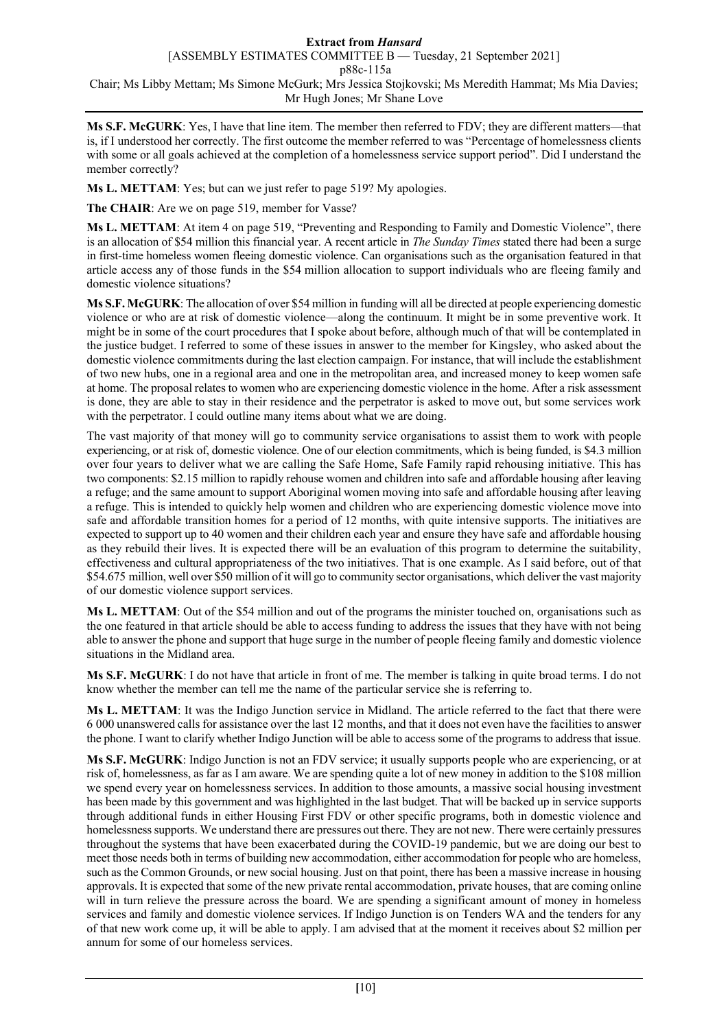[ASSEMBLY ESTIMATES COMMITTEE B — Tuesday, 21 September 2021]

p88c-115a

Chair; Ms Libby Mettam; Ms Simone McGurk; Mrs Jessica Stojkovski; Ms Meredith Hammat; Ms Mia Davies; Mr Hugh Jones; Mr Shane Love

**Ms S.F. McGURK**: Yes, I have that line item. The member then referred to FDV; they are different matters—that is, if I understood her correctly. The first outcome the member referred to was "Percentage of homelessness clients with some or all goals achieved at the completion of a homelessness service support period". Did I understand the member correctly?

**Ms L. METTAM**: Yes; but can we just refer to page 519? My apologies.

**The CHAIR**: Are we on page 519, member for Vasse?

**Ms L. METTAM**: At item 4 on page 519, "Preventing and Responding to Family and Domestic Violence", there is an allocation of \$54 million this financial year. A recent article in *The Sunday Times* stated there had been a surge in first-time homeless women fleeing domestic violence. Can organisations such as the organisation featured in that article access any of those funds in the \$54 million allocation to support individuals who are fleeing family and domestic violence situations?

**Ms S.F. McGURK**: The allocation of over \$54 million in funding will all be directed at people experiencing domestic violence or who are at risk of domestic violence—along the continuum. It might be in some preventive work. It might be in some of the court procedures that I spoke about before, although much of that will be contemplated in the justice budget. I referred to some of these issues in answer to the member for Kingsley, who asked about the domestic violence commitments during the last election campaign. For instance, that will include the establishment of two new hubs, one in a regional area and one in the metropolitan area, and increased money to keep women safe at home. The proposal relates to women who are experiencing domestic violence in the home. After a risk assessment is done, they are able to stay in their residence and the perpetrator is asked to move out, but some services work with the perpetrator. I could outline many items about what we are doing.

The vast majority of that money will go to community service organisations to assist them to work with people experiencing, or at risk of, domestic violence. One of our election commitments, which is being funded, is \$4.3 million over four years to deliver what we are calling the Safe Home, Safe Family rapid rehousing initiative. This has two components: \$2.15 million to rapidly rehouse women and children into safe and affordable housing after leaving a refuge; and the same amount to support Aboriginal women moving into safe and affordable housing after leaving a refuge. This is intended to quickly help women and children who are experiencing domestic violence move into safe and affordable transition homes for a period of 12 months, with quite intensive supports. The initiatives are expected to support up to 40 women and their children each year and ensure they have safe and affordable housing as they rebuild their lives. It is expected there will be an evaluation of this program to determine the suitability, effectiveness and cultural appropriateness of the two initiatives. That is one example. As I said before, out of that \$54.675 million, well over \$50 million of it will go to community sector organisations, which deliver the vast majority of our domestic violence support services.

**Ms L. METTAM**: Out of the \$54 million and out of the programs the minister touched on, organisations such as the one featured in that article should be able to access funding to address the issues that they have with not being able to answer the phone and support that huge surge in the number of people fleeing family and domestic violence situations in the Midland area.

**Ms S.F. McGURK**: I do not have that article in front of me. The member is talking in quite broad terms. I do not know whether the member can tell me the name of the particular service she is referring to.

**Ms L. METTAM**: It was the Indigo Junction service in Midland. The article referred to the fact that there were 6 000 unanswered calls for assistance over the last 12 months, and that it does not even have the facilities to answer the phone. I want to clarify whether Indigo Junction will be able to access some of the programs to address that issue.

**Ms S.F. McGURK**: Indigo Junction is not an FDV service; it usually supports people who are experiencing, or at risk of, homelessness, as far as I am aware. We are spending quite a lot of new money in addition to the \$108 million we spend every year on homelessness services. In addition to those amounts, a massive social housing investment has been made by this government and was highlighted in the last budget. That will be backed up in service supports through additional funds in either Housing First FDV or other specific programs, both in domestic violence and homelessness supports. We understand there are pressures out there. They are not new. There were certainly pressures throughout the systems that have been exacerbated during the COVID-19 pandemic, but we are doing our best to meet those needs both in terms of building new accommodation, either accommodation for people who are homeless, such as the Common Grounds, or new social housing. Just on that point, there has been a massive increase in housing approvals. It is expected that some of the new private rental accommodation, private houses, that are coming online will in turn relieve the pressure across the board. We are spending a significant amount of money in homeless services and family and domestic violence services. If Indigo Junction is on Tenders WA and the tenders for any of that new work come up, it will be able to apply. I am advised that at the moment it receives about \$2 million per annum for some of our homeless services.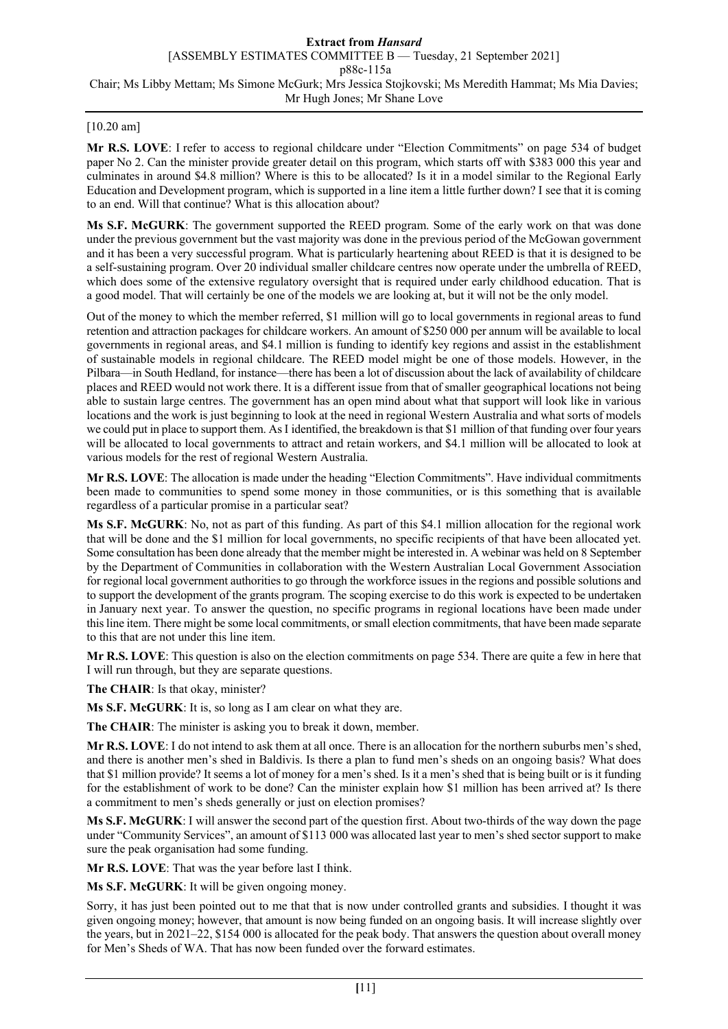# [10.20 am]

**Mr R.S. LOVE**: I refer to access to regional childcare under "Election Commitments" on page 534 of budget paper No 2. Can the minister provide greater detail on this program, which starts off with \$383 000 this year and culminates in around \$4.8 million? Where is this to be allocated? Is it in a model similar to the Regional Early Education and Development program, which is supported in a line item a little further down? I see that it is coming to an end. Will that continue? What is this allocation about?

**Ms S.F. McGURK**: The government supported the REED program. Some of the early work on that was done under the previous government but the vast majority was done in the previous period of the McGowan government and it has been a very successful program. What is particularly heartening about REED is that it is designed to be a self-sustaining program. Over 20 individual smaller childcare centres now operate under the umbrella of REED, which does some of the extensive regulatory oversight that is required under early childhood education. That is a good model. That will certainly be one of the models we are looking at, but it will not be the only model.

Out of the money to which the member referred, \$1 million will go to local governments in regional areas to fund retention and attraction packages for childcare workers. An amount of \$250 000 per annum will be available to local governments in regional areas, and \$4.1 million is funding to identify key regions and assist in the establishment of sustainable models in regional childcare. The REED model might be one of those models. However, in the Pilbara—in South Hedland, for instance—there has been a lot of discussion about the lack of availability of childcare places and REED would not work there. It is a different issue from that of smaller geographical locations not being able to sustain large centres. The government has an open mind about what that support will look like in various locations and the work is just beginning to look at the need in regional Western Australia and what sorts of models we could put in place to support them. As I identified, the breakdown is that \$1 million of that funding over four years will be allocated to local governments to attract and retain workers, and \$4.1 million will be allocated to look at various models for the rest of regional Western Australia.

**Mr R.S. LOVE**: The allocation is made under the heading "Election Commitments". Have individual commitments been made to communities to spend some money in those communities, or is this something that is available regardless of a particular promise in a particular seat?

**Ms S.F. McGURK**: No, not as part of this funding. As part of this \$4.1 million allocation for the regional work that will be done and the \$1 million for local governments, no specific recipients of that have been allocated yet. Some consultation has been done already that the member might be interested in. A webinar was held on 8 September by the Department of Communities in collaboration with the Western Australian Local Government Association for regional local government authorities to go through the workforce issues in the regions and possible solutions and to support the development of the grants program. The scoping exercise to do this work is expected to be undertaken in January next year. To answer the question, no specific programs in regional locations have been made under this line item. There might be some local commitments, or small election commitments, that have been made separate to this that are not under this line item.

**Mr R.S. LOVE**: This question is also on the election commitments on page 534. There are quite a few in here that I will run through, but they are separate questions.

**The CHAIR**: Is that okay, minister?

**Ms S.F. McGURK**: It is, so long as I am clear on what they are.

**The CHAIR**: The minister is asking you to break it down, member.

**Mr R.S. LOVE**: I do not intend to ask them at all once. There is an allocation for the northern suburbs men's shed, and there is another men's shed in Baldivis. Is there a plan to fund men's sheds on an ongoing basis? What does that \$1 million provide? It seems a lot of money for a men's shed. Is it a men's shed that is being built or is it funding for the establishment of work to be done? Can the minister explain how \$1 million has been arrived at? Is there a commitment to men's sheds generally or just on election promises?

**Ms S.F. McGURK**: I will answer the second part of the question first. About two-thirds of the way down the page under "Community Services", an amount of \$113 000 was allocated last year to men's shed sector support to make sure the peak organisation had some funding.

**Mr R.S. LOVE**: That was the year before last I think.

**Ms S.F. McGURK**: It will be given ongoing money.

Sorry, it has just been pointed out to me that that is now under controlled grants and subsidies. I thought it was given ongoing money; however, that amount is now being funded on an ongoing basis. It will increase slightly over the years, but in 2021–22, \$154 000 is allocated for the peak body. That answers the question about overall money for Men's Sheds of WA. That has now been funded over the forward estimates.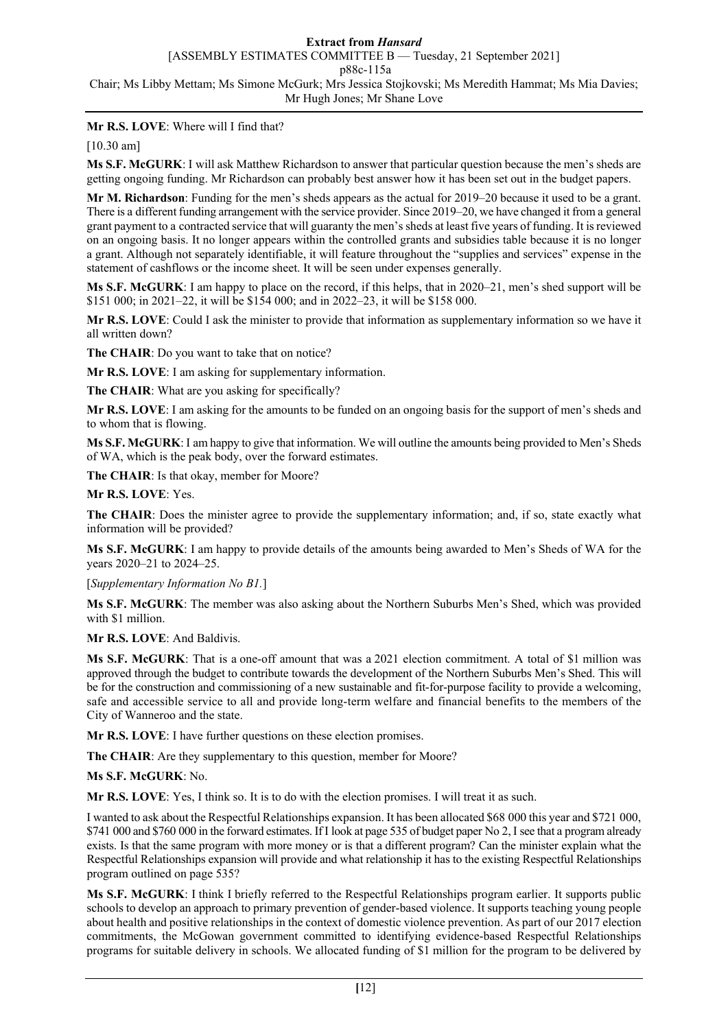# **Mr R.S. LOVE**: Where will I find that?

[10.30 am]

**Ms S.F. McGURK**: I will ask Matthew Richardson to answer that particular question because the men's sheds are getting ongoing funding. Mr Richardson can probably best answer how it has been set out in the budget papers.

**Mr M. Richardson**: Funding for the men's sheds appears as the actual for 2019–20 because it used to be a grant. There is a different funding arrangement with the service provider. Since 2019–20, we have changed it from a general grant payment to a contracted service that will guaranty the men's sheds at least five years of funding. It is reviewed on an ongoing basis. It no longer appears within the controlled grants and subsidies table because it is no longer a grant. Although not separately identifiable, it will feature throughout the "supplies and services" expense in the statement of cashflows or the income sheet. It will be seen under expenses generally.

**Ms S.F. McGURK**: I am happy to place on the record, if this helps, that in 2020–21, men's shed support will be \$151 000; in 2021–22, it will be \$154 000; and in 2022–23, it will be \$158 000.

**Mr R.S. LOVE**: Could I ask the minister to provide that information as supplementary information so we have it all written down?

**The CHAIR**: Do you want to take that on notice?

**Mr R.S. LOVE**: I am asking for supplementary information.

**The CHAIR**: What are you asking for specifically?

**Mr R.S. LOVE**: I am asking for the amounts to be funded on an ongoing basis for the support of men's sheds and to whom that is flowing.

**Ms S.F. McGURK**: I am happy to give that information. We will outline the amounts being provided to Men's Sheds of WA, which is the peak body, over the forward estimates.

**The CHAIR**: Is that okay, member for Moore?

**Mr R.S. LOVE**: Yes.

**The CHAIR**: Does the minister agree to provide the supplementary information; and, if so, state exactly what information will be provided?

**Ms S.F. McGURK**: I am happy to provide details of the amounts being awarded to Men's Sheds of WA for the years 2020–21 to 2024–25.

#### [*Supplementary Information No B1.*]

**Ms S.F. McGURK**: The member was also asking about the Northern Suburbs Men's Shed, which was provided with \$1 million.

**Mr R.S. LOVE**: And Baldivis.

**Ms S.F. McGURK**: That is a one-off amount that was a 2021 election commitment. A total of \$1 million was approved through the budget to contribute towards the development of the Northern Suburbs Men's Shed. This will be for the construction and commissioning of a new sustainable and fit-for-purpose facility to provide a welcoming, safe and accessible service to all and provide long-term welfare and financial benefits to the members of the City of Wanneroo and the state.

**Mr R.S. LOVE**: I have further questions on these election promises.

**The CHAIR**: Are they supplementary to this question, member for Moore?

**Ms S.F. McGURK**: No.

**Mr R.S. LOVE**: Yes, I think so. It is to do with the election promises. I will treat it as such.

I wanted to ask about the Respectful Relationships expansion. It has been allocated \$68 000 this year and \$721 000, \$741 000 and \$760 000 in the forward estimates. If I look at page 535 of budget paper No 2, I see that a program already exists. Is that the same program with more money or is that a different program? Can the minister explain what the Respectful Relationships expansion will provide and what relationship it has to the existing Respectful Relationships program outlined on page 535?

**Ms S.F. McGURK**: I think I briefly referred to the Respectful Relationships program earlier. It supports public schools to develop an approach to primary prevention of gender-based violence. It supports teaching young people about health and positive relationships in the context of domestic violence prevention. As part of our 2017 election commitments, the McGowan government committed to identifying evidence-based Respectful Relationships programs for suitable delivery in schools. We allocated funding of \$1 million for the program to be delivered by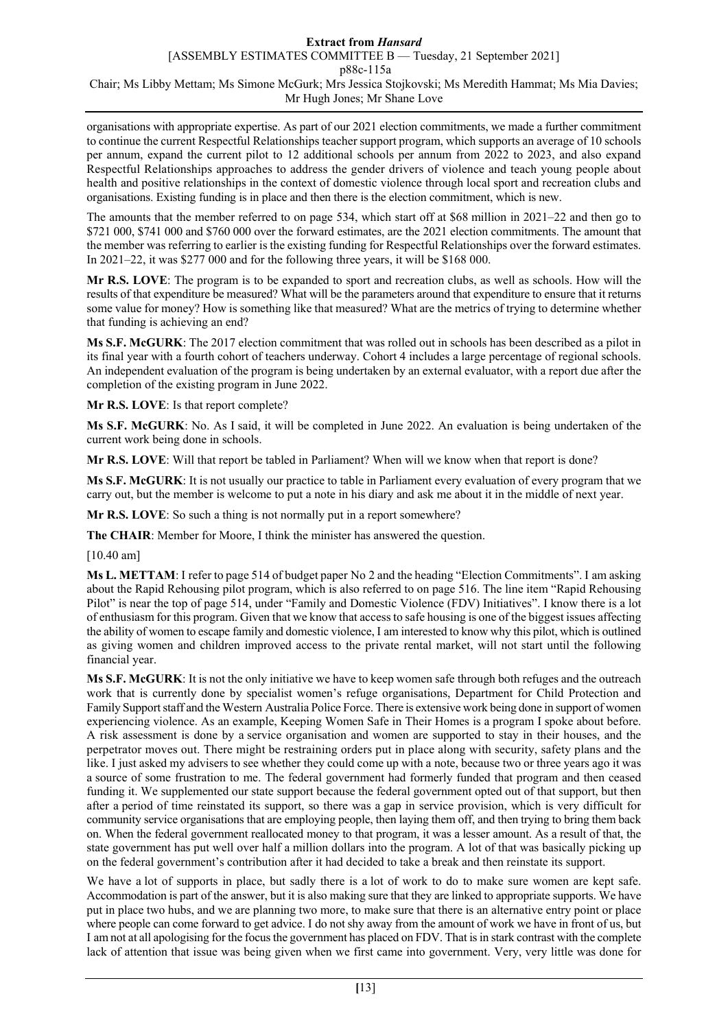organisations with appropriate expertise. As part of our 2021 election commitments, we made a further commitment to continue the current Respectful Relationships teacher support program, which supports an average of 10 schools per annum, expand the current pilot to 12 additional schools per annum from 2022 to 2023, and also expand Respectful Relationships approaches to address the gender drivers of violence and teach young people about health and positive relationships in the context of domestic violence through local sport and recreation clubs and organisations. Existing funding is in place and then there is the election commitment, which is new.

The amounts that the member referred to on page 534, which start off at \$68 million in 2021–22 and then go to \$721 000, \$741 000 and \$760 000 over the forward estimates, are the 2021 election commitments. The amount that the member was referring to earlier is the existing funding for Respectful Relationships over the forward estimates. In 2021–22, it was \$277 000 and for the following three years, it will be \$168 000.

**Mr R.S. LOVE**: The program is to be expanded to sport and recreation clubs, as well as schools. How will the results of that expenditure be measured? What will be the parameters around that expenditure to ensure that it returns some value for money? How is something like that measured? What are the metrics of trying to determine whether that funding is achieving an end?

**Ms S.F. McGURK**: The 2017 election commitment that was rolled out in schools has been described as a pilot in its final year with a fourth cohort of teachers underway. Cohort 4 includes a large percentage of regional schools. An independent evaluation of the program is being undertaken by an external evaluator, with a report due after the completion of the existing program in June 2022.

**Mr R.S. LOVE**: Is that report complete?

**Ms S.F. McGURK**: No. As I said, it will be completed in June 2022. An evaluation is being undertaken of the current work being done in schools.

**Mr R.S. LOVE**: Will that report be tabled in Parliament? When will we know when that report is done?

**Ms S.F. McGURK**: It is not usually our practice to table in Parliament every evaluation of every program that we carry out, but the member is welcome to put a note in his diary and ask me about it in the middle of next year.

**Mr R.S. LOVE**: So such a thing is not normally put in a report somewhere?

**The CHAIR**: Member for Moore, I think the minister has answered the question.

[10.40 am]

**Ms L. METTAM**: I refer to page 514 of budget paper No 2 and the heading "Election Commitments". I am asking about the Rapid Rehousing pilot program, which is also referred to on page 516. The line item "Rapid Rehousing Pilot" is near the top of page 514, under "Family and Domestic Violence (FDV) Initiatives". I know there is a lot of enthusiasm for this program. Given that we know that access to safe housing is one of the biggest issues affecting the ability of women to escape family and domestic violence, I am interested to know why this pilot, which is outlined as giving women and children improved access to the private rental market, will not start until the following financial year.

**Ms S.F. McGURK**: It is not the only initiative we have to keep women safe through both refuges and the outreach work that is currently done by specialist women's refuge organisations, Department for Child Protection and Family Support staff and the Western Australia Police Force. There is extensive work being done in support of women experiencing violence. As an example, Keeping Women Safe in Their Homes is a program I spoke about before. A risk assessment is done by a service organisation and women are supported to stay in their houses, and the perpetrator moves out. There might be restraining orders put in place along with security, safety plans and the like. I just asked my advisers to see whether they could come up with a note, because two or three years ago it was a source of some frustration to me. The federal government had formerly funded that program and then ceased funding it. We supplemented our state support because the federal government opted out of that support, but then after a period of time reinstated its support, so there was a gap in service provision, which is very difficult for community service organisations that are employing people, then laying them off, and then trying to bring them back on. When the federal government reallocated money to that program, it was a lesser amount. As a result of that, the state government has put well over half a million dollars into the program. A lot of that was basically picking up on the federal government's contribution after it had decided to take a break and then reinstate its support.

We have a lot of supports in place, but sadly there is a lot of work to do to make sure women are kept safe. Accommodation is part of the answer, but it is also making sure that they are linked to appropriate supports. We have put in place two hubs, and we are planning two more, to make sure that there is an alternative entry point or place where people can come forward to get advice. I do not shy away from the amount of work we have in front of us, but I am not at all apologising for the focus the government has placed on FDV. That is in stark contrast with the complete lack of attention that issue was being given when we first came into government. Very, very little was done for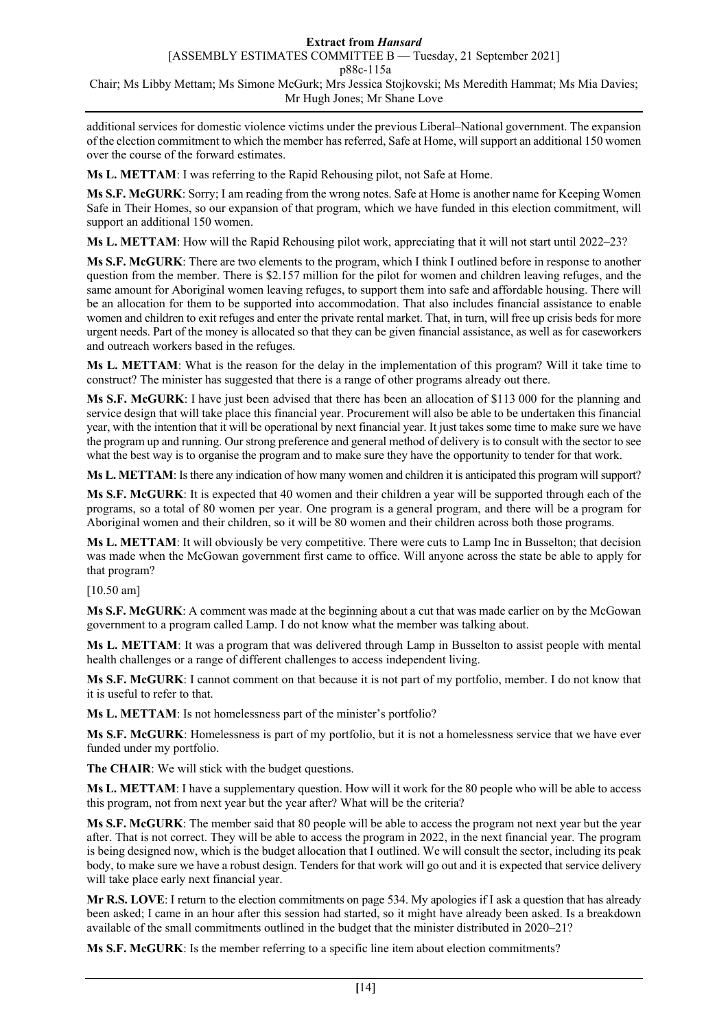additional services for domestic violence victims under the previous Liberal–National government. The expansion of the election commitment to which the member has referred, Safe at Home, will support an additional 150 women over the course of the forward estimates.

**Ms L. METTAM**: I was referring to the Rapid Rehousing pilot, not Safe at Home.

**Ms S.F. McGURK**: Sorry; I am reading from the wrong notes. Safe at Home is another name for Keeping Women Safe in Their Homes, so our expansion of that program, which we have funded in this election commitment, will support an additional 150 women.

**Ms L. METTAM**: How will the Rapid Rehousing pilot work, appreciating that it will not start until 2022–23?

**Ms S.F. McGURK**: There are two elements to the program, which I think I outlined before in response to another question from the member. There is \$2.157 million for the pilot for women and children leaving refuges, and the same amount for Aboriginal women leaving refuges, to support them into safe and affordable housing. There will be an allocation for them to be supported into accommodation. That also includes financial assistance to enable women and children to exit refuges and enter the private rental market. That, in turn, will free up crisis beds for more urgent needs. Part of the money is allocated so that they can be given financial assistance, as well as for caseworkers and outreach workers based in the refuges.

**Ms L. METTAM**: What is the reason for the delay in the implementation of this program? Will it take time to construct? The minister has suggested that there is a range of other programs already out there.

**Ms S.F. McGURK**: I have just been advised that there has been an allocation of \$113 000 for the planning and service design that will take place this financial year. Procurement will also be able to be undertaken this financial year, with the intention that it will be operational by next financial year. It just takes some time to make sure we have the program up and running. Our strong preference and general method of delivery is to consult with the sector to see what the best way is to organise the program and to make sure they have the opportunity to tender for that work.

**Ms L. METTAM**: Is there any indication of how many women and children it is anticipated this program will support?

**Ms S.F. McGURK**: It is expected that 40 women and their children a year will be supported through each of the programs, so a total of 80 women per year. One program is a general program, and there will be a program for Aboriginal women and their children, so it will be 80 women and their children across both those programs.

**Ms L. METTAM**: It will obviously be very competitive. There were cuts to Lamp Inc in Busselton; that decision was made when the McGowan government first came to office. Will anyone across the state be able to apply for that program?

[10.50 am]

**Ms S.F. McGURK**: A comment was made at the beginning about a cut that was made earlier on by the McGowan government to a program called Lamp. I do not know what the member was talking about.

**Ms L. METTAM**: It was a program that was delivered through Lamp in Busselton to assist people with mental health challenges or a range of different challenges to access independent living.

**Ms S.F. McGURK**: I cannot comment on that because it is not part of my portfolio, member. I do not know that it is useful to refer to that.

**Ms L. METTAM**: Is not homelessness part of the minister's portfolio?

**Ms S.F. McGURK**: Homelessness is part of my portfolio, but it is not a homelessness service that we have ever funded under my portfolio.

**The CHAIR**: We will stick with the budget questions.

**Ms L. METTAM**: I have a supplementary question. How will it work for the 80 people who will be able to access this program, not from next year but the year after? What will be the criteria?

**Ms S.F. McGURK**: The member said that 80 people will be able to access the program not next year but the year after. That is not correct. They will be able to access the program in 2022, in the next financial year. The program is being designed now, which is the budget allocation that I outlined. We will consult the sector, including its peak body, to make sure we have a robust design. Tenders for that work will go out and it is expected that service delivery will take place early next financial year.

**Mr R.S. LOVE**: I return to the election commitments on page 534. My apologies if I ask a question that has already been asked; I came in an hour after this session had started, so it might have already been asked. Is a breakdown available of the small commitments outlined in the budget that the minister distributed in 2020–21?

**Ms S.F. McGURK**: Is the member referring to a specific line item about election commitments?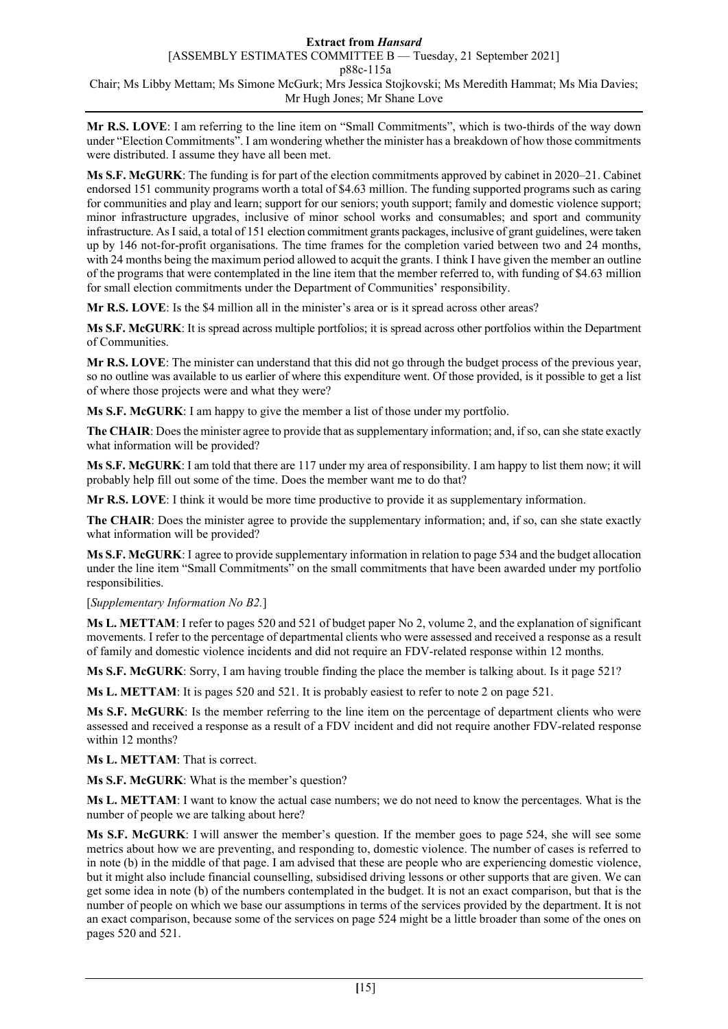**Mr R.S. LOVE**: I am referring to the line item on "Small Commitments", which is two-thirds of the way down under "Election Commitments". I am wondering whether the minister has a breakdown of how those commitments were distributed. I assume they have all been met.

**Ms S.F. McGURK**: The funding is for part of the election commitments approved by cabinet in 2020–21. Cabinet endorsed 151 community programs worth a total of \$4.63 million. The funding supported programs such as caring for communities and play and learn; support for our seniors; youth support; family and domestic violence support; minor infrastructure upgrades, inclusive of minor school works and consumables; and sport and community infrastructure. AsI said, a total of 151 election commitment grants packages, inclusive of grant guidelines, were taken up by 146 not-for-profit organisations. The time frames for the completion varied between two and 24 months, with 24 months being the maximum period allowed to acquit the grants. I think I have given the member an outline of the programs that were contemplated in the line item that the member referred to, with funding of \$4.63 million for small election commitments under the Department of Communities' responsibility.

**Mr R.S. LOVE**: Is the \$4 million all in the minister's area or is it spread across other areas?

**Ms S.F. McGURK**: It is spread across multiple portfolios; it is spread across other portfolios within the Department of Communities.

**Mr R.S. LOVE**: The minister can understand that this did not go through the budget process of the previous year, so no outline was available to us earlier of where this expenditure went. Of those provided, is it possible to get a list of where those projects were and what they were?

**Ms S.F. McGURK**: I am happy to give the member a list of those under my portfolio.

**The CHAIR**: Does the minister agree to provide that as supplementary information; and, if so, can she state exactly what information will be provided?

**Ms S.F. McGURK**: I am told that there are 117 under my area of responsibility. I am happy to list them now; it will probably help fill out some of the time. Does the member want me to do that?

**Mr R.S. LOVE**: I think it would be more time productive to provide it as supplementary information.

**The CHAIR**: Does the minister agree to provide the supplementary information; and, if so, can she state exactly what information will be provided?

**Ms S.F. McGURK**: I agree to provide supplementary information in relation to page 534 and the budget allocation under the line item "Small Commitments" on the small commitments that have been awarded under my portfolio responsibilities.

### [*Supplementary Information No B2.*]

**Ms L. METTAM**: I refer to pages 520 and 521 of budget paper No 2, volume 2, and the explanation of significant movements. I refer to the percentage of departmental clients who were assessed and received a response as a result of family and domestic violence incidents and did not require an FDV-related response within 12 months.

**Ms S.F. McGURK**: Sorry, I am having trouble finding the place the member is talking about. Is it page 521?

**Ms L. METTAM**: It is pages 520 and 521. It is probably easiest to refer to note 2 on page 521.

**Ms S.F. McGURK**: Is the member referring to the line item on the percentage of department clients who were assessed and received a response as a result of a FDV incident and did not require another FDV-related response within 12 months?

**Ms L. METTAM**: That is correct.

**Ms S.F. McGURK**: What is the member's question?

**Ms L. METTAM**: I want to know the actual case numbers; we do not need to know the percentages. What is the number of people we are talking about here?

**Ms S.F. McGURK**: I will answer the member's question. If the member goes to page 524, she will see some metrics about how we are preventing, and responding to, domestic violence. The number of cases is referred to in note (b) in the middle of that page. I am advised that these are people who are experiencing domestic violence, but it might also include financial counselling, subsidised driving lessons or other supports that are given. We can get some idea in note (b) of the numbers contemplated in the budget. It is not an exact comparison, but that is the number of people on which we base our assumptions in terms of the services provided by the department. It is not an exact comparison, because some of the services on page 524 might be a little broader than some of the ones on pages 520 and 521.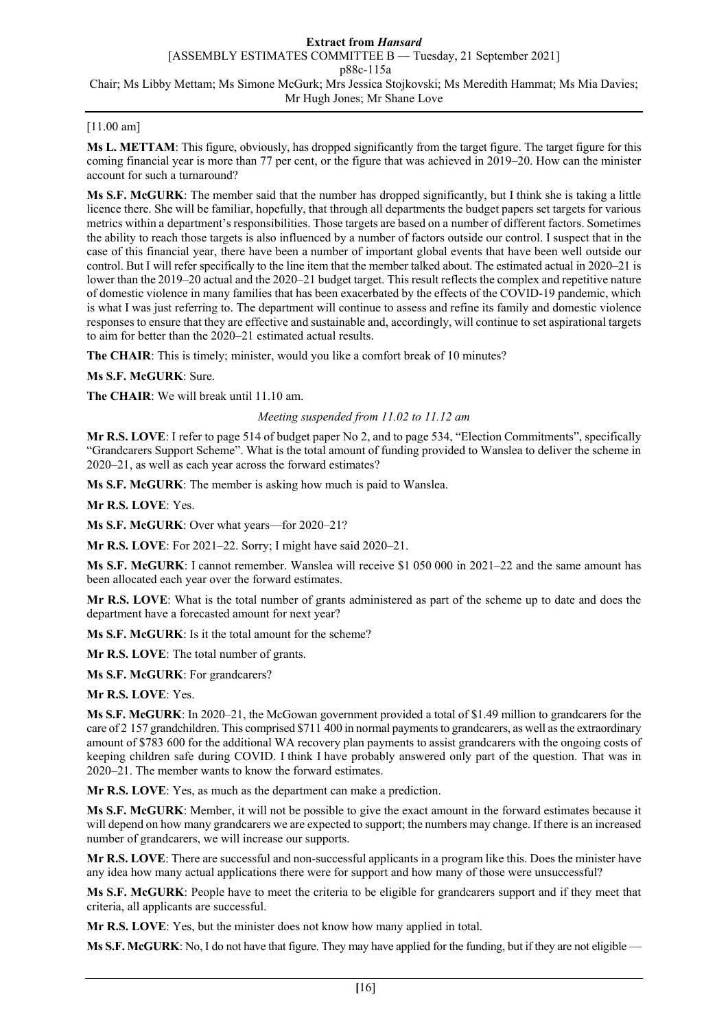## [11.00 am]

**Ms L. METTAM**: This figure, obviously, has dropped significantly from the target figure. The target figure for this coming financial year is more than 77 per cent, or the figure that was achieved in 2019–20. How can the minister account for such a turnaround?

**Ms S.F. McGURK**: The member said that the number has dropped significantly, but I think she is taking a little licence there. She will be familiar, hopefully, that through all departments the budget papers set targets for various metrics within a department's responsibilities. Those targets are based on a number of different factors. Sometimes the ability to reach those targets is also influenced by a number of factors outside our control. I suspect that in the case of this financial year, there have been a number of important global events that have been well outside our control. But I will refer specifically to the line item that the member talked about. The estimated actual in 2020–21 is lower than the 2019–20 actual and the 2020–21 budget target. This result reflects the complex and repetitive nature of domestic violence in many families that has been exacerbated by the effects of the COVID-19 pandemic, which is what I was just referring to. The department will continue to assess and refine its family and domestic violence responses to ensure that they are effective and sustainable and, accordingly, will continue to set aspirational targets to aim for better than the 2020–21 estimated actual results.

**The CHAIR**: This is timely; minister, would you like a comfort break of 10 minutes?

### **Ms S.F. McGURK**: Sure.

**The CHAIR**: We will break until 11.10 am.

### *Meeting suspended from 11.02 to 11.12 am*

**Mr R.S. LOVE**: I refer to page 514 of budget paper No 2, and to page 534, "Election Commitments", specifically "Grandcarers Support Scheme". What is the total amount of funding provided to Wanslea to deliver the scheme in 2020–21, as well as each year across the forward estimates?

**Ms S.F. McGURK**: The member is asking how much is paid to Wanslea.

**Mr R.S. LOVE**: Yes.

**Ms S.F. McGURK**: Over what years—for 2020–21?

**Mr R.S. LOVE**: For 2021–22. Sorry; I might have said 2020–21.

**Ms S.F. McGURK**: I cannot remember. Wanslea will receive \$1 050 000 in 2021–22 and the same amount has been allocated each year over the forward estimates.

**Mr R.S. LOVE**: What is the total number of grants administered as part of the scheme up to date and does the department have a forecasted amount for next year?

**Ms S.F. McGURK**: Is it the total amount for the scheme?

**Mr R.S. LOVE**: The total number of grants.

**Ms S.F. McGURK**: For grandcarers?

**Mr R.S. LOVE**: Yes.

**Ms S.F. McGURK**: In 2020–21, the McGowan government provided a total of \$1.49 million to grandcarers for the care of 2 157 grandchildren. This comprised \$711 400 in normal payments to grandcarers, as well as the extraordinary amount of \$783 600 for the additional WA recovery plan payments to assist grandcarers with the ongoing costs of keeping children safe during COVID. I think I have probably answered only part of the question. That was in 2020–21. The member wants to know the forward estimates.

**Mr R.S. LOVE**: Yes, as much as the department can make a prediction.

**Ms S.F. McGURK**: Member, it will not be possible to give the exact amount in the forward estimates because it will depend on how many grandcarers we are expected to support; the numbers may change. If there is an increased number of grandcarers, we will increase our supports.

**Mr R.S. LOVE**: There are successful and non-successful applicants in a program like this. Does the minister have any idea how many actual applications there were for support and how many of those were unsuccessful?

**Ms S.F. McGURK**: People have to meet the criteria to be eligible for grandcarers support and if they meet that criteria, all applicants are successful.

**Mr R.S. LOVE**: Yes, but the minister does not know how many applied in total.

**Ms S.F. McGURK**: No, I do not have that figure. They may have applied for the funding, but if they are not eligible —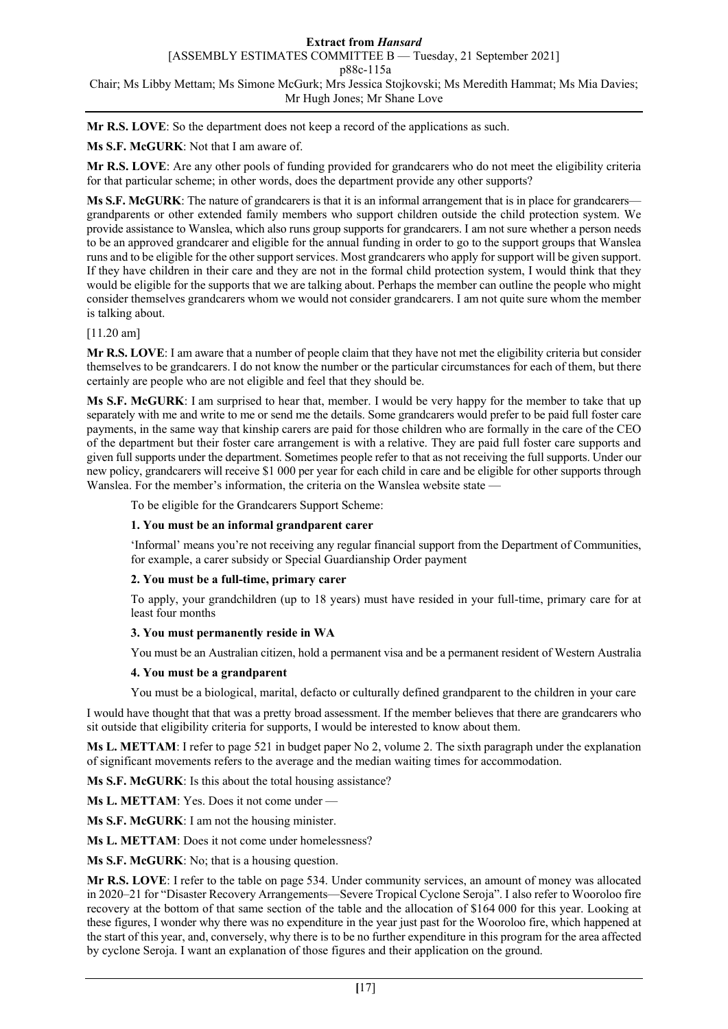**Mr R.S. LOVE**: So the department does not keep a record of the applications as such.

**Ms S.F. McGURK**: Not that I am aware of.

**Mr R.S. LOVE**: Are any other pools of funding provided for grandcarers who do not meet the eligibility criteria for that particular scheme; in other words, does the department provide any other supports?

**Ms S.F. McGURK**: The nature of grandcarers is that it is an informal arrangement that is in place for grandcarers grandparents or other extended family members who support children outside the child protection system. We provide assistance to Wanslea, which also runs group supports for grandcarers. I am not sure whether a person needs to be an approved grandcarer and eligible for the annual funding in order to go to the support groups that Wanslea runs and to be eligible for the other support services. Most grandcarers who apply for support will be given support. If they have children in their care and they are not in the formal child protection system, I would think that they would be eligible for the supports that we are talking about. Perhaps the member can outline the people who might consider themselves grandcarers whom we would not consider grandcarers. I am not quite sure whom the member is talking about.

### [11.20 am]

**Mr R.S. LOVE**: I am aware that a number of people claim that they have not met the eligibility criteria but consider themselves to be grandcarers. I do not know the number or the particular circumstances for each of them, but there certainly are people who are not eligible and feel that they should be.

**Ms S.F. McGURK**: I am surprised to hear that, member. I would be very happy for the member to take that up separately with me and write to me or send me the details. Some grandcarers would prefer to be paid full foster care payments, in the same way that kinship carers are paid for those children who are formally in the care of the CEO of the department but their foster care arrangement is with a relative. They are paid full foster care supports and given full supports under the department. Sometimes people refer to that as not receiving the full supports. Under our new policy, grandcarers will receive \$1 000 per year for each child in care and be eligible for other supports through Wanslea. For the member's information, the criteria on the Wanslea website state —

To be eligible for the Grandcarers Support Scheme:

### **1. You must be an informal grandparent carer**

'Informal' means you're not receiving any regular financial support from the Department of Communities, for example, a carer subsidy or Special Guardianship Order payment

### **2. You must be a full-time, primary carer**

To apply, your grandchildren (up to 18 years) must have resided in your full-time, primary care for at least four months

### **3. You must permanently reside in WA**

You must be an Australian citizen, hold a permanent visa and be a permanent resident of Western Australia

### **4. You must be a grandparent**

You must be a biological, marital, defacto or culturally defined grandparent to the children in your care

I would have thought that that was a pretty broad assessment. If the member believes that there are grandcarers who sit outside that eligibility criteria for supports, I would be interested to know about them.

**Ms L. METTAM**: I refer to page 521 in budget paper No 2, volume 2. The sixth paragraph under the explanation of significant movements refers to the average and the median waiting times for accommodation.

**Ms S.F. McGURK**: Is this about the total housing assistance?

**Ms L. METTAM**: Yes. Does it not come under —

**Ms S.F. McGURK**: I am not the housing minister.

**Ms L. METTAM**: Does it not come under homelessness?

**Ms S.F. McGURK**: No; that is a housing question.

**Mr R.S. LOVE**: I refer to the table on page 534. Under community services, an amount of money was allocated in 2020–21 for "Disaster Recovery Arrangements—Severe Tropical Cyclone Seroja". I also refer to Wooroloo fire recovery at the bottom of that same section of the table and the allocation of \$164 000 for this year. Looking at these figures, I wonder why there was no expenditure in the year just past for the Wooroloo fire, which happened at the start of this year, and, conversely, why there is to be no further expenditure in this program for the area affected by cyclone Seroja. I want an explanation of those figures and their application on the ground.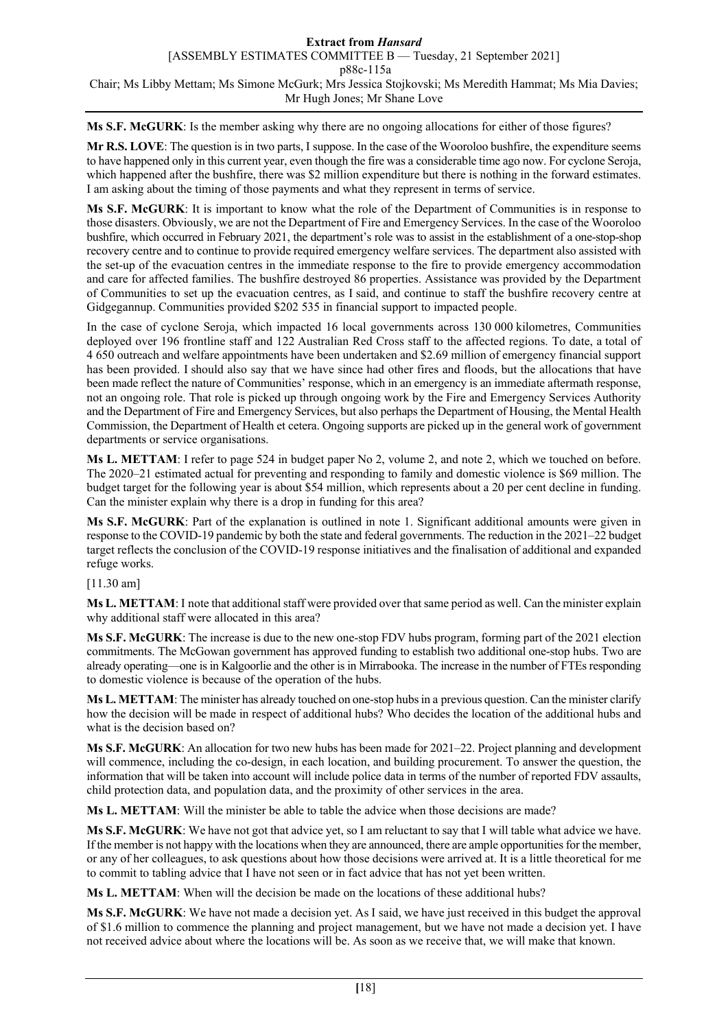**Ms S.F. McGURK**: Is the member asking why there are no ongoing allocations for either of those figures?

**Mr R.S. LOVE**: The question is in two parts, I suppose. In the case of the Wooroloo bushfire, the expenditure seems to have happened only in this current year, even though the fire was a considerable time ago now. For cyclone Seroja, which happened after the bushfire, there was \$2 million expenditure but there is nothing in the forward estimates. I am asking about the timing of those payments and what they represent in terms of service.

**Ms S.F. McGURK**: It is important to know what the role of the Department of Communities is in response to those disasters. Obviously, we are not the Department of Fire and Emergency Services. In the case of the Wooroloo bushfire, which occurred in February 2021, the department's role was to assist in the establishment of a one-stop-shop recovery centre and to continue to provide required emergency welfare services. The department also assisted with the set-up of the evacuation centres in the immediate response to the fire to provide emergency accommodation and care for affected families. The bushfire destroyed 86 properties. Assistance was provided by the Department of Communities to set up the evacuation centres, as I said, and continue to staff the bushfire recovery centre at Gidgegannup. Communities provided \$202 535 in financial support to impacted people.

In the case of cyclone Seroja, which impacted 16 local governments across 130 000 kilometres, Communities deployed over 196 frontline staff and 122 Australian Red Cross staff to the affected regions. To date, a total of 4 650 outreach and welfare appointments have been undertaken and \$2.69 million of emergency financial support has been provided. I should also say that we have since had other fires and floods, but the allocations that have been made reflect the nature of Communities' response, which in an emergency is an immediate aftermath response, not an ongoing role. That role is picked up through ongoing work by the Fire and Emergency Services Authority and the Department of Fire and Emergency Services, but also perhaps the Department of Housing, the Mental Health Commission, the Department of Health et cetera. Ongoing supports are picked up in the general work of government departments or service organisations.

**Ms L. METTAM**: I refer to page 524 in budget paper No 2, volume 2, and note 2, which we touched on before. The 2020–21 estimated actual for preventing and responding to family and domestic violence is \$69 million. The budget target for the following year is about \$54 million, which represents about a 20 per cent decline in funding. Can the minister explain why there is a drop in funding for this area?

**Ms S.F. McGURK**: Part of the explanation is outlined in note 1. Significant additional amounts were given in response to the COVID-19 pandemic by both the state and federal governments. The reduction in the 2021–22 budget target reflects the conclusion of the COVID-19 response initiatives and the finalisation of additional and expanded refuge works.

[11.30 am]

**Ms L. METTAM**: I note that additional staff were provided over that same period as well. Can the minister explain why additional staff were allocated in this area?

**Ms S.F. McGURK**: The increase is due to the new one-stop FDV hubs program, forming part of the 2021 election commitments. The McGowan government has approved funding to establish two additional one-stop hubs. Two are already operating—one is in Kalgoorlie and the other is in Mirrabooka. The increase in the number of FTEs responding to domestic violence is because of the operation of the hubs.

**Ms L. METTAM**: The minister has already touched on one-stop hubs in a previous question. Can the minister clarify how the decision will be made in respect of additional hubs? Who decides the location of the additional hubs and what is the decision based on?

**Ms S.F. McGURK**: An allocation for two new hubs has been made for 2021–22. Project planning and development will commence, including the co-design, in each location, and building procurement. To answer the question, the information that will be taken into account will include police data in terms of the number of reported FDV assaults, child protection data, and population data, and the proximity of other services in the area.

**Ms L. METTAM**: Will the minister be able to table the advice when those decisions are made?

**Ms S.F. McGURK**: We have not got that advice yet, so I am reluctant to say that I will table what advice we have. If the member is not happy with the locations when they are announced, there are ample opportunities for the member, or any of her colleagues, to ask questions about how those decisions were arrived at. It is a little theoretical for me to commit to tabling advice that I have not seen or in fact advice that has not yet been written.

**Ms L. METTAM**: When will the decision be made on the locations of these additional hubs?

**Ms S.F. McGURK**: We have not made a decision yet. As I said, we have just received in this budget the approval of \$1.6 million to commence the planning and project management, but we have not made a decision yet. I have not received advice about where the locations will be. As soon as we receive that, we will make that known.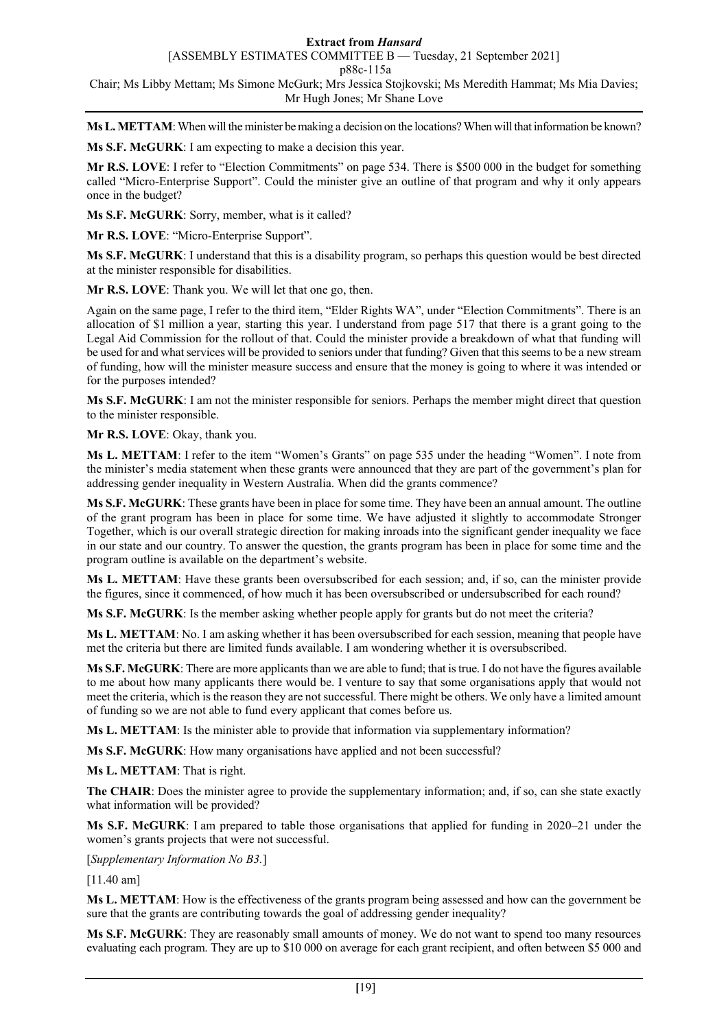[ASSEMBLY ESTIMATES COMMITTEE B — Tuesday, 21 September 2021]

p88c-115a

Chair; Ms Libby Mettam; Ms Simone McGurk; Mrs Jessica Stojkovski; Ms Meredith Hammat; Ms Mia Davies; Mr Hugh Jones; Mr Shane Love

**Ms L. METTAM**: When will the minister be making a decision on the locations? When will that information be known?

**Ms S.F. McGURK**: I am expecting to make a decision this year.

**Mr R.S. LOVE**: I refer to "Election Commitments" on page 534. There is \$500 000 in the budget for something called "Micro-Enterprise Support". Could the minister give an outline of that program and why it only appears once in the budget?

**Ms S.F. McGURK**: Sorry, member, what is it called?

**Mr R.S. LOVE**: "Micro-Enterprise Support".

**Ms S.F. McGURK**: I understand that this is a disability program, so perhaps this question would be best directed at the minister responsible for disabilities.

**Mr R.S. LOVE**: Thank you. We will let that one go, then.

Again on the same page, I refer to the third item, "Elder Rights WA", under "Election Commitments". There is an allocation of \$1 million a year, starting this year. I understand from page 517 that there is a grant going to the Legal Aid Commission for the rollout of that. Could the minister provide a breakdown of what that funding will be used for and what services will be provided to seniors under that funding? Given that this seems to be a new stream of funding, how will the minister measure success and ensure that the money is going to where it was intended or for the purposes intended?

**Ms S.F. McGURK**: I am not the minister responsible for seniors. Perhaps the member might direct that question to the minister responsible.

**Mr R.S. LOVE**: Okay, thank you.

**Ms L. METTAM**: I refer to the item "Women's Grants" on page 535 under the heading "Women". I note from the minister's media statement when these grants were announced that they are part of the government's plan for addressing gender inequality in Western Australia. When did the grants commence?

**Ms S.F. McGURK**: These grants have been in place for some time. They have been an annual amount. The outline of the grant program has been in place for some time. We have adjusted it slightly to accommodate Stronger Together, which is our overall strategic direction for making inroads into the significant gender inequality we face in our state and our country. To answer the question, the grants program has been in place for some time and the program outline is available on the department's website.

**Ms L. METTAM**: Have these grants been oversubscribed for each session; and, if so, can the minister provide the figures, since it commenced, of how much it has been oversubscribed or undersubscribed for each round?

**Ms S.F. McGURK**: Is the member asking whether people apply for grants but do not meet the criteria?

**Ms L. METTAM**: No. I am asking whether it has been oversubscribed for each session, meaning that people have met the criteria but there are limited funds available. I am wondering whether it is oversubscribed.

**Ms S.F. McGURK**: There are more applicants than we are able to fund; that is true. I do not have the figures available to me about how many applicants there would be. I venture to say that some organisations apply that would not meet the criteria, which is the reason they are not successful. There might be others. We only have a limited amount of funding so we are not able to fund every applicant that comes before us.

**Ms L. METTAM**: Is the minister able to provide that information via supplementary information?

**Ms S.F. McGURK**: How many organisations have applied and not been successful?

**Ms L. METTAM**: That is right.

**The CHAIR**: Does the minister agree to provide the supplementary information; and, if so, can she state exactly what information will be provided?

**Ms S.F. McGURK**: I am prepared to table those organisations that applied for funding in 2020–21 under the women's grants projects that were not successful.

[*Supplementary Information No B3.*]

[11.40 am]

**Ms L. METTAM**: How is the effectiveness of the grants program being assessed and how can the government be sure that the grants are contributing towards the goal of addressing gender inequality?

**Ms S.F. McGURK**: They are reasonably small amounts of money. We do not want to spend too many resources evaluating each program. They are up to \$10 000 on average for each grant recipient, and often between \$5 000 and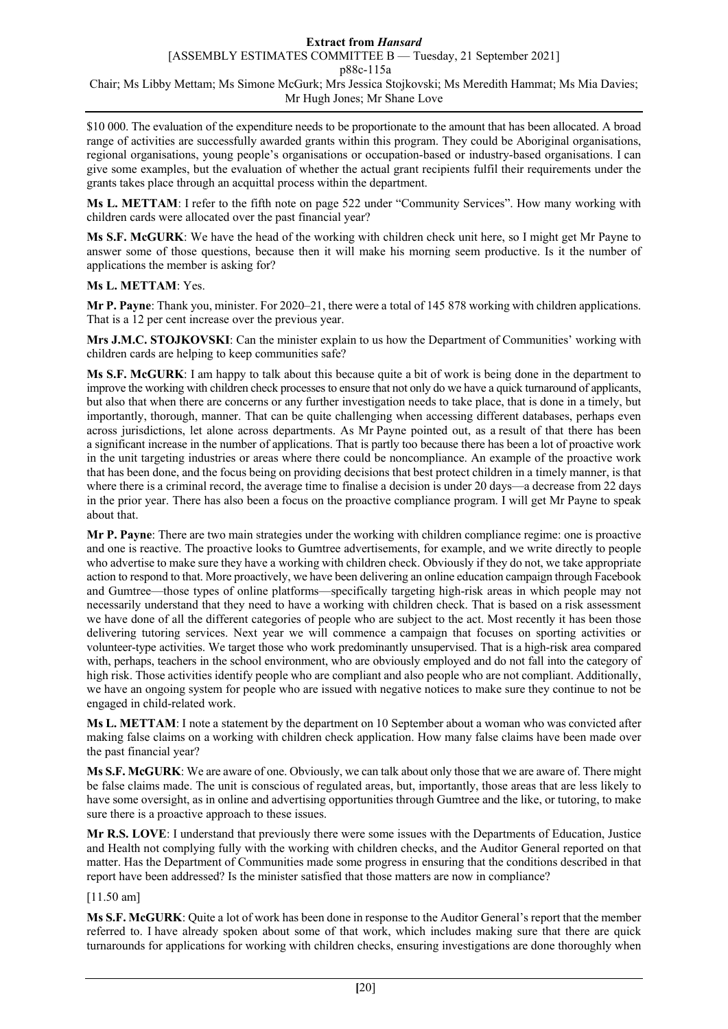\$10 000. The evaluation of the expenditure needs to be proportionate to the amount that has been allocated. A broad range of activities are successfully awarded grants within this program. They could be Aboriginal organisations, regional organisations, young people's organisations or occupation-based or industry-based organisations. I can give some examples, but the evaluation of whether the actual grant recipients fulfil their requirements under the grants takes place through an acquittal process within the department.

**Ms L. METTAM**: I refer to the fifth note on page 522 under "Community Services". How many working with children cards were allocated over the past financial year?

**Ms S.F. McGURK**: We have the head of the working with children check unit here, so I might get Mr Payne to answer some of those questions, because then it will make his morning seem productive. Is it the number of applications the member is asking for?

### **Ms L. METTAM**: Yes.

**Mr P. Payne**: Thank you, minister. For 2020–21, there were a total of 145 878 working with children applications. That is a 12 per cent increase over the previous year.

**Mrs J.M.C. STOJKOVSKI**: Can the minister explain to us how the Department of Communities' working with children cards are helping to keep communities safe?

**Ms S.F. McGURK**: I am happy to talk about this because quite a bit of work is being done in the department to improve the working with children check processes to ensure that not only do we have a quick turnaround of applicants, but also that when there are concerns or any further investigation needs to take place, that is done in a timely, but importantly, thorough, manner. That can be quite challenging when accessing different databases, perhaps even across jurisdictions, let alone across departments. As Mr Payne pointed out, as a result of that there has been a significant increase in the number of applications. That is partly too because there has been a lot of proactive work in the unit targeting industries or areas where there could be noncompliance. An example of the proactive work that has been done, and the focus being on providing decisions that best protect children in a timely manner, is that where there is a criminal record, the average time to finalise a decision is under 20 days—a decrease from 22 days in the prior year. There has also been a focus on the proactive compliance program. I will get Mr Payne to speak about that.

**Mr P. Payne**: There are two main strategies under the working with children compliance regime: one is proactive and one is reactive. The proactive looks to Gumtree advertisements, for example, and we write directly to people who advertise to make sure they have a working with children check. Obviously if they do not, we take appropriate action to respond to that. More proactively, we have been delivering an online education campaign through Facebook and Gumtree—those types of online platforms—specifically targeting high-risk areas in which people may not necessarily understand that they need to have a working with children check. That is based on a risk assessment we have done of all the different categories of people who are subject to the act. Most recently it has been those delivering tutoring services. Next year we will commence a campaign that focuses on sporting activities or volunteer-type activities. We target those who work predominantly unsupervised. That is a high-risk area compared with, perhaps, teachers in the school environment, who are obviously employed and do not fall into the category of high risk. Those activities identify people who are compliant and also people who are not compliant. Additionally, we have an ongoing system for people who are issued with negative notices to make sure they continue to not be engaged in child-related work.

**Ms L. METTAM**: I note a statement by the department on 10 September about a woman who was convicted after making false claims on a working with children check application. How many false claims have been made over the past financial year?

**Ms S.F. McGURK**: We are aware of one. Obviously, we can talk about only those that we are aware of. There might be false claims made. The unit is conscious of regulated areas, but, importantly, those areas that are less likely to have some oversight, as in online and advertising opportunities through Gumtree and the like, or tutoring, to make sure there is a proactive approach to these issues.

**Mr R.S. LOVE**: I understand that previously there were some issues with the Departments of Education, Justice and Health not complying fully with the working with children checks, and the Auditor General reported on that matter. Has the Department of Communities made some progress in ensuring that the conditions described in that report have been addressed? Is the minister satisfied that those matters are now in compliance?

### [11.50 am]

**Ms S.F. McGURK**: Quite a lot of work has been done in response to the Auditor General's report that the member referred to. I have already spoken about some of that work, which includes making sure that there are quick turnarounds for applications for working with children checks, ensuring investigations are done thoroughly when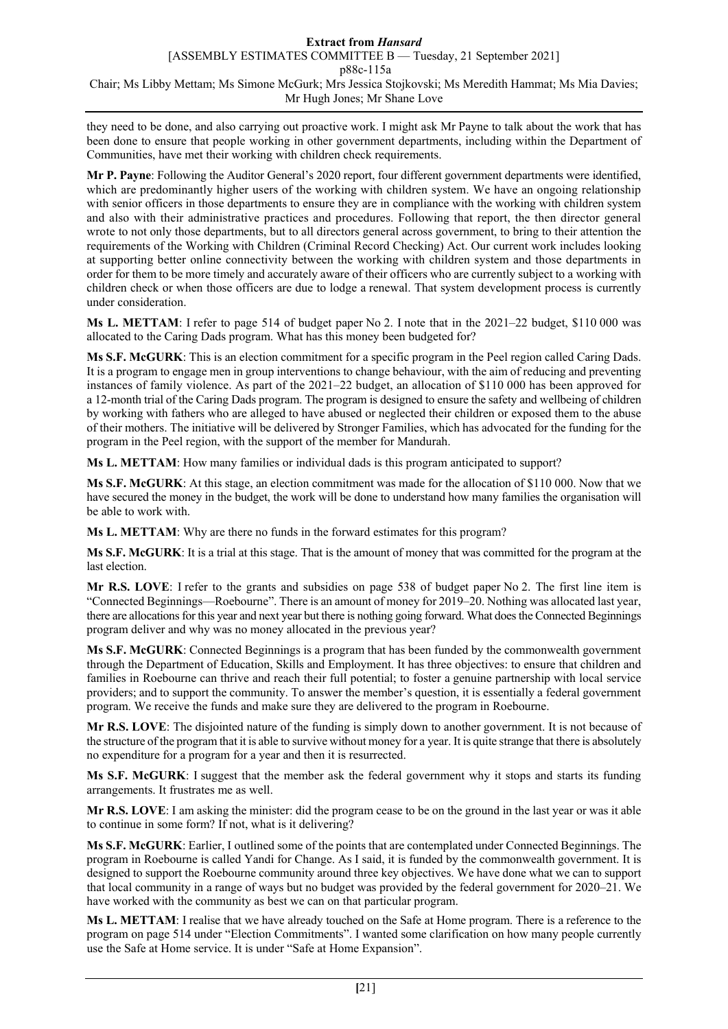they need to be done, and also carrying out proactive work. I might ask Mr Payne to talk about the work that has been done to ensure that people working in other government departments, including within the Department of Communities, have met their working with children check requirements.

**Mr P. Payne**: Following the Auditor General's 2020 report, four different government departments were identified, which are predominantly higher users of the working with children system. We have an ongoing relationship with senior officers in those departments to ensure they are in compliance with the working with children system and also with their administrative practices and procedures. Following that report, the then director general wrote to not only those departments, but to all directors general across government, to bring to their attention the requirements of the Working with Children (Criminal Record Checking) Act. Our current work includes looking at supporting better online connectivity between the working with children system and those departments in order for them to be more timely and accurately aware of their officers who are currently subject to a working with children check or when those officers are due to lodge a renewal. That system development process is currently under consideration.

**Ms L. METTAM**: I refer to page 514 of budget paper No 2. I note that in the 2021–22 budget, \$110 000 was allocated to the Caring Dads program. What has this money been budgeted for?

**Ms S.F. McGURK**: This is an election commitment for a specific program in the Peel region called Caring Dads. It is a program to engage men in group interventions to change behaviour, with the aim of reducing and preventing instances of family violence. As part of the 2021–22 budget, an allocation of \$110 000 has been approved for a 12-month trial of the Caring Dads program. The program is designed to ensure the safety and wellbeing of children by working with fathers who are alleged to have abused or neglected their children or exposed them to the abuse of their mothers. The initiative will be delivered by Stronger Families, which has advocated for the funding for the program in the Peel region, with the support of the member for Mandurah.

**Ms L. METTAM**: How many families or individual dads is this program anticipated to support?

**Ms S.F. McGURK**: At this stage, an election commitment was made for the allocation of \$110 000. Now that we have secured the money in the budget, the work will be done to understand how many families the organisation will be able to work with.

**Ms L. METTAM**: Why are there no funds in the forward estimates for this program?

**Ms S.F. McGURK**: It is a trial at this stage. That is the amount of money that was committed for the program at the last election.

**Mr R.S. LOVE**: I refer to the grants and subsidies on page 538 of budget paper No 2. The first line item is "Connected Beginnings—Roebourne". There is an amount of money for 2019–20. Nothing was allocated last year, there are allocations for this year and next year but there is nothing going forward. What does the Connected Beginnings program deliver and why was no money allocated in the previous year?

**Ms S.F. McGURK**: Connected Beginnings is a program that has been funded by the commonwealth government through the Department of Education, Skills and Employment. It has three objectives: to ensure that children and families in Roebourne can thrive and reach their full potential; to foster a genuine partnership with local service providers; and to support the community. To answer the member's question, it is essentially a federal government program. We receive the funds and make sure they are delivered to the program in Roebourne.

**Mr R.S. LOVE**: The disjointed nature of the funding is simply down to another government. It is not because of the structure of the program that it is able to survive without money for a year. It is quite strange that there is absolutely no expenditure for a program for a year and then it is resurrected.

**Ms S.F. McGURK**: I suggest that the member ask the federal government why it stops and starts its funding arrangements. It frustrates me as well.

**Mr R.S. LOVE**: I am asking the minister: did the program cease to be on the ground in the last year or was it able to continue in some form? If not, what is it delivering?

**Ms S.F. McGURK**: Earlier, I outlined some of the points that are contemplated under Connected Beginnings. The program in Roebourne is called Yandi for Change. As I said, it is funded by the commonwealth government. It is designed to support the Roebourne community around three key objectives. We have done what we can to support that local community in a range of ways but no budget was provided by the federal government for 2020–21. We have worked with the community as best we can on that particular program.

**Ms L. METTAM**: I realise that we have already touched on the Safe at Home program. There is a reference to the program on page 514 under "Election Commitments". I wanted some clarification on how many people currently use the Safe at Home service. It is under "Safe at Home Expansion".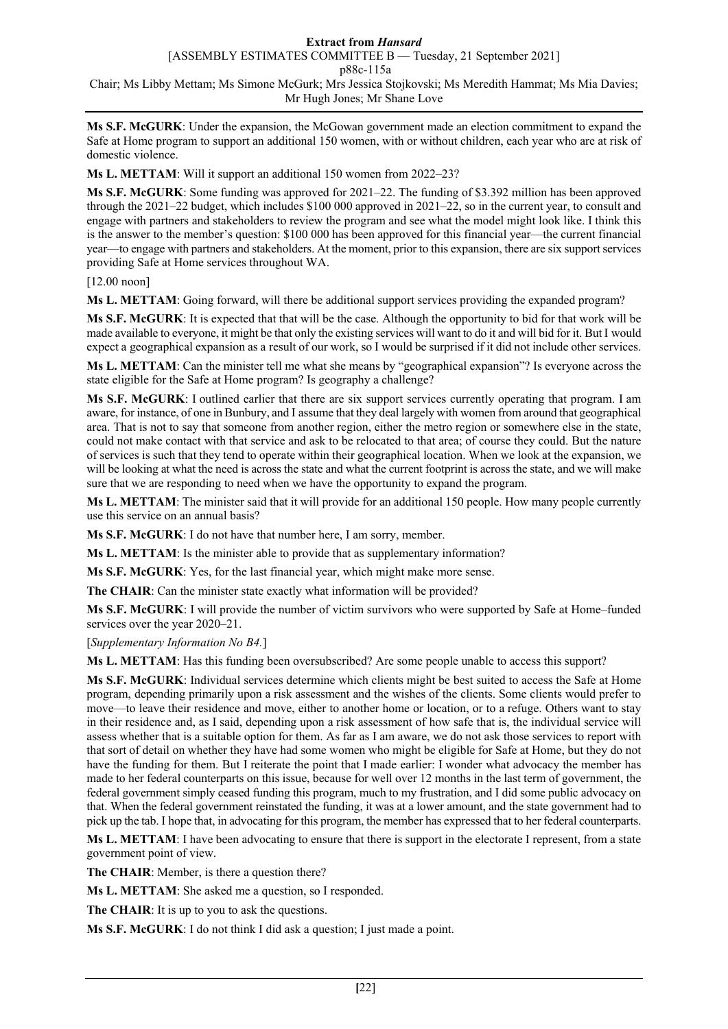[ASSEMBLY ESTIMATES COMMITTEE B — Tuesday, 21 September 2021]

p88c-115a

Chair; Ms Libby Mettam; Ms Simone McGurk; Mrs Jessica Stojkovski; Ms Meredith Hammat; Ms Mia Davies; Mr Hugh Jones; Mr Shane Love

**Ms S.F. McGURK**: Under the expansion, the McGowan government made an election commitment to expand the Safe at Home program to support an additional 150 women, with or without children, each year who are at risk of domestic violence.

**Ms L. METTAM**: Will it support an additional 150 women from 2022–23?

**Ms S.F. McGURK**: Some funding was approved for 2021–22. The funding of \$3.392 million has been approved through the 2021–22 budget, which includes \$100 000 approved in 2021–22, so in the current year, to consult and engage with partners and stakeholders to review the program and see what the model might look like. I think this is the answer to the member's question: \$100 000 has been approved for this financial year—the current financial year—to engage with partners and stakeholders. At the moment, prior to this expansion, there are six support services providing Safe at Home services throughout WA.

[12.00 noon]

**Ms L. METTAM**: Going forward, will there be additional support services providing the expanded program?

**Ms S.F. McGURK**: It is expected that that will be the case. Although the opportunity to bid for that work will be made available to everyone, it might be that only the existing services will want to do it and will bid for it. But I would expect a geographical expansion as a result of our work, so I would be surprised if it did not include other services.

**Ms L. METTAM**: Can the minister tell me what she means by "geographical expansion"? Is everyone across the state eligible for the Safe at Home program? Is geography a challenge?

**Ms S.F. McGURK**: I outlined earlier that there are six support services currently operating that program. I am aware, for instance, of one in Bunbury, and I assume that they deal largely with women from around that geographical area. That is not to say that someone from another region, either the metro region or somewhere else in the state, could not make contact with that service and ask to be relocated to that area; of course they could. But the nature of services is such that they tend to operate within their geographical location. When we look at the expansion, we will be looking at what the need is across the state and what the current footprint is across the state, and we will make sure that we are responding to need when we have the opportunity to expand the program.

**Ms L. METTAM**: The minister said that it will provide for an additional 150 people. How many people currently use this service on an annual basis?

**Ms S.F. McGURK**: I do not have that number here, I am sorry, member.

**Ms L. METTAM**: Is the minister able to provide that as supplementary information?

**Ms S.F. McGURK**: Yes, for the last financial year, which might make more sense.

**The CHAIR**: Can the minister state exactly what information will be provided?

**Ms S.F. McGURK**: I will provide the number of victim survivors who were supported by Safe at Home–funded services over the year 2020–21.

[*Supplementary Information No B4.*]

**Ms L. METTAM**: Has this funding been oversubscribed? Are some people unable to access this support?

**Ms S.F. McGURK**: Individual services determine which clients might be best suited to access the Safe at Home program, depending primarily upon a risk assessment and the wishes of the clients. Some clients would prefer to move—to leave their residence and move, either to another home or location, or to a refuge. Others want to stay in their residence and, as I said, depending upon a risk assessment of how safe that is, the individual service will assess whether that is a suitable option for them. As far as I am aware, we do not ask those services to report with that sort of detail on whether they have had some women who might be eligible for Safe at Home, but they do not have the funding for them. But I reiterate the point that I made earlier: I wonder what advocacy the member has made to her federal counterparts on this issue, because for well over 12 months in the last term of government, the federal government simply ceased funding this program, much to my frustration, and I did some public advocacy on that. When the federal government reinstated the funding, it was at a lower amount, and the state government had to pick up the tab. I hope that, in advocating for this program, the member has expressed that to her federal counterparts.

**Ms L. METTAM**: I have been advocating to ensure that there is support in the electorate I represent, from a state government point of view.

**The CHAIR**: Member, is there a question there?

**Ms L. METTAM**: She asked me a question, so I responded.

**The CHAIR**: It is up to you to ask the questions.

**Ms S.F. McGURK**: I do not think I did ask a question; I just made a point.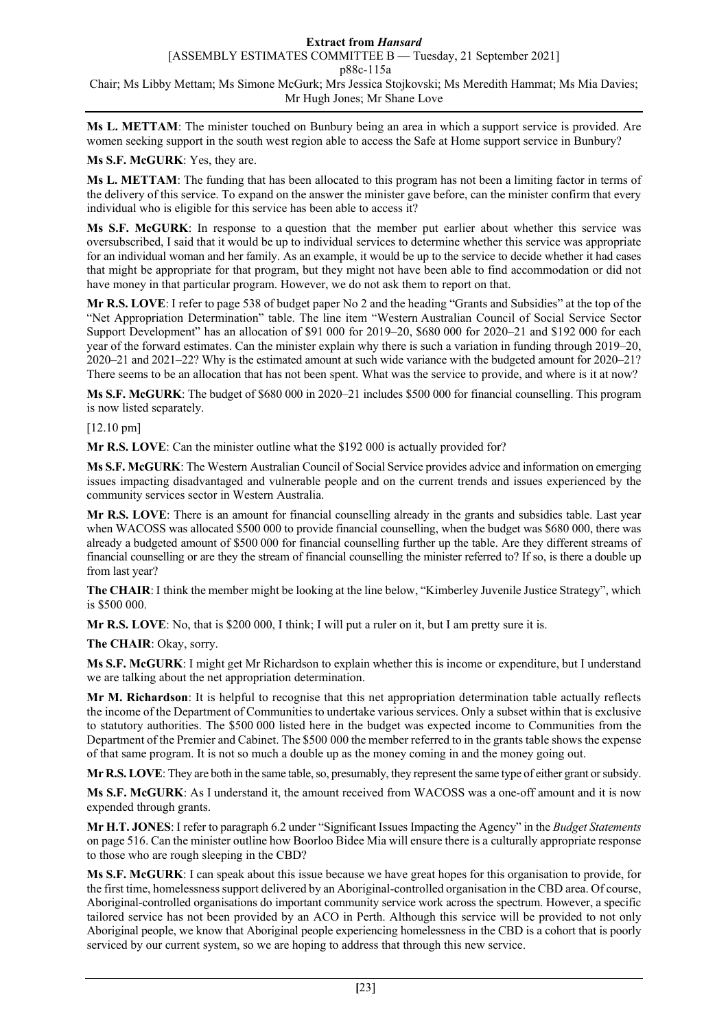**Ms L. METTAM**: The minister touched on Bunbury being an area in which a support service is provided. Are women seeking support in the south west region able to access the Safe at Home support service in Bunbury?

### **Ms S.F. McGURK**: Yes, they are.

**Ms L. METTAM**: The funding that has been allocated to this program has not been a limiting factor in terms of the delivery of this service. To expand on the answer the minister gave before, can the minister confirm that every individual who is eligible for this service has been able to access it?

**Ms S.F. McGURK**: In response to a question that the member put earlier about whether this service was oversubscribed, I said that it would be up to individual services to determine whether this service was appropriate for an individual woman and her family. As an example, it would be up to the service to decide whether it had cases that might be appropriate for that program, but they might not have been able to find accommodation or did not have money in that particular program. However, we do not ask them to report on that.

**Mr R.S. LOVE**: I refer to page 538 of budget paper No 2 and the heading "Grants and Subsidies" at the top of the "Net Appropriation Determination" table. The line item "Western Australian Council of Social Service Sector Support Development" has an allocation of \$91 000 for 2019–20, \$680 000 for 2020–21 and \$192 000 for each year of the forward estimates. Can the minister explain why there is such a variation in funding through 2019–20, 2020–21 and 2021–22? Why is the estimated amount at such wide variance with the budgeted amount for 2020–21? There seems to be an allocation that has not been spent. What was the service to provide, and where is it at now?

**Ms S.F. McGURK**: The budget of \$680 000 in 2020–21 includes \$500 000 for financial counselling. This program is now listed separately.

[12.10 pm]

**Mr R.S. LOVE**: Can the minister outline what the \$192 000 is actually provided for?

**Ms S.F. McGURK**: The Western Australian Council of Social Service provides advice and information on emerging issues impacting disadvantaged and vulnerable people and on the current trends and issues experienced by the community services sector in Western Australia.

**Mr R.S. LOVE**: There is an amount for financial counselling already in the grants and subsidies table. Last year when WACOSS was allocated \$500 000 to provide financial counselling, when the budget was \$680 000, there was already a budgeted amount of \$500 000 for financial counselling further up the table. Are they different streams of financial counselling or are they the stream of financial counselling the minister referred to? If so, is there a double up from last year?

**The CHAIR**: I think the member might be looking at the line below, "Kimberley Juvenile Justice Strategy", which is \$500 000.

**Mr R.S. LOVE**: No, that is \$200 000, I think; I will put a ruler on it, but I am pretty sure it is.

**The CHAIR**: Okay, sorry.

**Ms S.F. McGURK**: I might get Mr Richardson to explain whether this is income or expenditure, but I understand we are talking about the net appropriation determination.

**Mr M. Richardson**: It is helpful to recognise that this net appropriation determination table actually reflects the income of the Department of Communities to undertake various services. Only a subset within that is exclusive to statutory authorities. The \$500 000 listed here in the budget was expected income to Communities from the Department of the Premier and Cabinet. The \$500 000 the member referred to in the grants table shows the expense of that same program. It is not so much a double up as the money coming in and the money going out.

**Mr R.S. LOVE**: They are both in the same table, so, presumably, they represent the same type of either grant or subsidy.

**Ms S.F. McGURK**: As I understand it, the amount received from WACOSS was a one-off amount and it is now expended through grants.

**Mr H.T. JONES**: I refer to paragraph 6.2 under "Significant Issues Impacting the Agency" in the *Budget Statements* on page 516. Can the minister outline how Boorloo Bidee Mia will ensure there is a culturally appropriate response to those who are rough sleeping in the CBD?

**Ms S.F. McGURK**: I can speak about this issue because we have great hopes for this organisation to provide, for the first time, homelessness support delivered by an Aboriginal-controlled organisation in the CBD area. Of course, Aboriginal-controlled organisations do important community service work across the spectrum. However, a specific tailored service has not been provided by an ACO in Perth. Although this service will be provided to not only Aboriginal people, we know that Aboriginal people experiencing homelessness in the CBD is a cohort that is poorly serviced by our current system, so we are hoping to address that through this new service.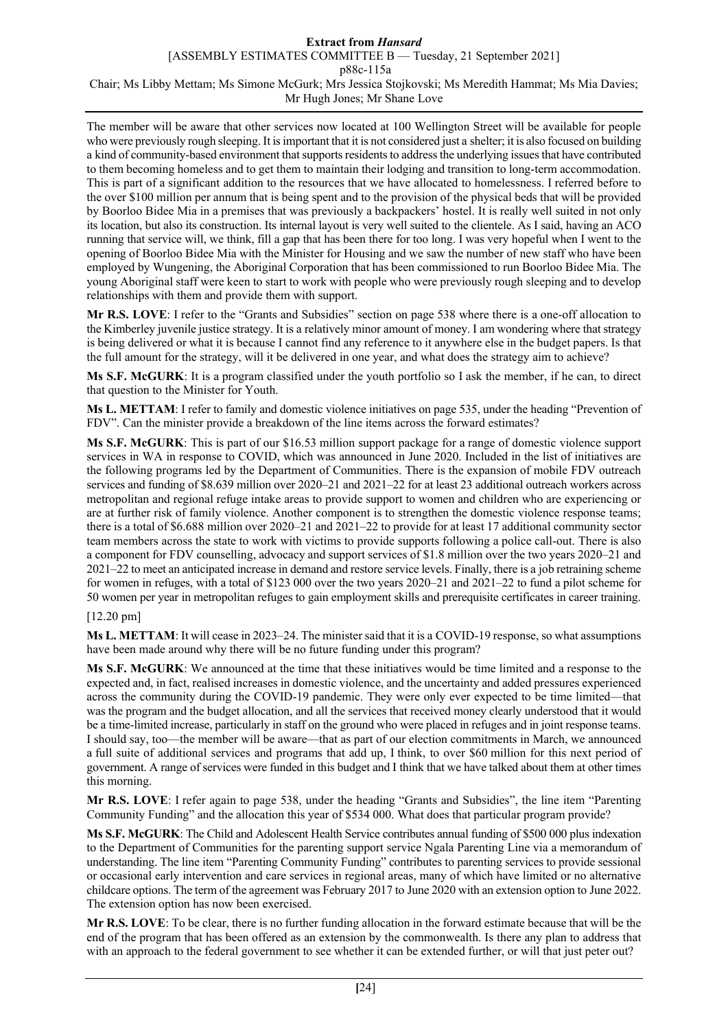[ASSEMBLY ESTIMATES COMMITTEE B — Tuesday, 21 September 2021]

p88c-115a

Chair; Ms Libby Mettam; Ms Simone McGurk; Mrs Jessica Stojkovski; Ms Meredith Hammat; Ms Mia Davies; Mr Hugh Jones; Mr Shane Love

The member will be aware that other services now located at 100 Wellington Street will be available for people who were previously rough sleeping. It is important that it is not considered just a shelter; it is also focused on building a kind of community-based environment that supports residents to address the underlying issues that have contributed to them becoming homeless and to get them to maintain their lodging and transition to long-term accommodation. This is part of a significant addition to the resources that we have allocated to homelessness. I referred before to the over \$100 million per annum that is being spent and to the provision of the physical beds that will be provided by Boorloo Bidee Mia in a premises that was previously a backpackers' hostel. It is really well suited in not only its location, but also its construction. Its internal layout is very well suited to the clientele. As I said, having an ACO running that service will, we think, fill a gap that has been there for too long. I was very hopeful when I went to the opening of Boorloo Bidee Mia with the Minister for Housing and we saw the number of new staff who have been employed by Wungening, the Aboriginal Corporation that has been commissioned to run Boorloo Bidee Mia. The young Aboriginal staff were keen to start to work with people who were previously rough sleeping and to develop relationships with them and provide them with support.

**Mr R.S. LOVE**: I refer to the "Grants and Subsidies" section on page 538 where there is a one-off allocation to the Kimberley juvenile justice strategy. It is a relatively minor amount of money. I am wondering where that strategy is being delivered or what it is because I cannot find any reference to it anywhere else in the budget papers. Is that the full amount for the strategy, will it be delivered in one year, and what does the strategy aim to achieve?

**Ms S.F. McGURK**: It is a program classified under the youth portfolio so I ask the member, if he can, to direct that question to the Minister for Youth.

**Ms L. METTAM**: I refer to family and domestic violence initiatives on page 535, under the heading "Prevention of FDV". Can the minister provide a breakdown of the line items across the forward estimates?

**Ms S.F. McGURK**: This is part of our \$16.53 million support package for a range of domestic violence support services in WA in response to COVID, which was announced in June 2020. Included in the list of initiatives are the following programs led by the Department of Communities. There is the expansion of mobile FDV outreach services and funding of \$8.639 million over 2020–21 and 2021–22 for at least 23 additional outreach workers across metropolitan and regional refuge intake areas to provide support to women and children who are experiencing or are at further risk of family violence. Another component is to strengthen the domestic violence response teams; there is a total of \$6.688 million over 2020–21 and 2021–22 to provide for at least 17 additional community sector team members across the state to work with victims to provide supports following a police call-out. There is also a component for FDV counselling, advocacy and support services of \$1.8 million over the two years 2020–21 and 2021–22 to meet an anticipated increase in demand and restore service levels. Finally, there is a job retraining scheme for women in refuges, with a total of \$123 000 over the two years 2020–21 and 2021–22 to fund a pilot scheme for 50 women per year in metropolitan refuges to gain employment skills and prerequisite certificates in career training.

# [12.20 pm]

**Ms L. METTAM**: It will cease in 2023–24. The minister said that it is a COVID-19 response, so what assumptions have been made around why there will be no future funding under this program?

**Ms S.F. McGURK**: We announced at the time that these initiatives would be time limited and a response to the expected and, in fact, realised increases in domestic violence, and the uncertainty and added pressures experienced across the community during the COVID-19 pandemic. They were only ever expected to be time limited—that was the program and the budget allocation, and all the services that received money clearly understood that it would be a time-limited increase, particularly in staff on the ground who were placed in refuges and in joint response teams. I should say, too—the member will be aware—that as part of our election commitments in March, we announced a full suite of additional services and programs that add up, I think, to over \$60 million for this next period of government. A range of services were funded in this budget and I think that we have talked about them at other times this morning.

**Mr R.S. LOVE**: I refer again to page 538, under the heading "Grants and Subsidies", the line item "Parenting Community Funding" and the allocation this year of \$534 000. What does that particular program provide?

**Ms S.F. McGURK**: The Child and Adolescent Health Service contributes annual funding of \$500 000 plus indexation to the Department of Communities for the parenting support service Ngala Parenting Line via a memorandum of understanding. The line item "Parenting Community Funding" contributes to parenting services to provide sessional or occasional early intervention and care services in regional areas, many of which have limited or no alternative childcare options. The term of the agreement was February 2017 to June 2020 with an extension option to June 2022. The extension option has now been exercised.

**Mr R.S. LOVE**: To be clear, there is no further funding allocation in the forward estimate because that will be the end of the program that has been offered as an extension by the commonwealth. Is there any plan to address that with an approach to the federal government to see whether it can be extended further, or will that just peter out?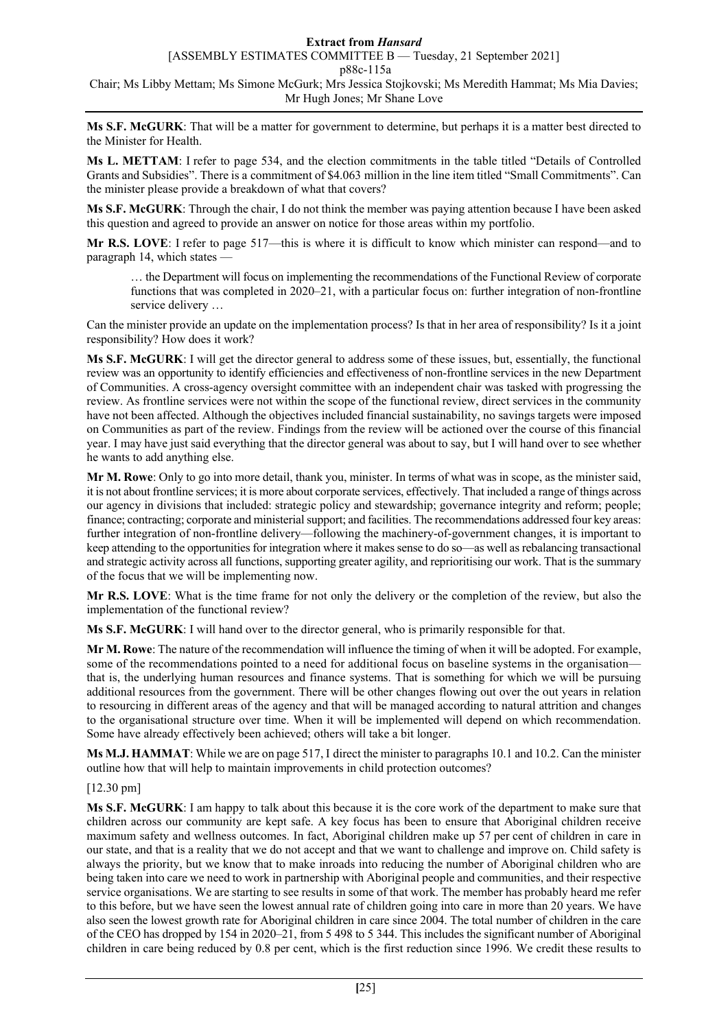[ASSEMBLY ESTIMATES COMMITTEE B — Tuesday, 21 September 2021]

p88c-115a

Chair; Ms Libby Mettam; Ms Simone McGurk; Mrs Jessica Stojkovski; Ms Meredith Hammat; Ms Mia Davies; Mr Hugh Jones; Mr Shane Love

**Ms S.F. McGURK**: That will be a matter for government to determine, but perhaps it is a matter best directed to the Minister for Health.

**Ms L. METTAM**: I refer to page 534, and the election commitments in the table titled "Details of Controlled Grants and Subsidies". There is a commitment of \$4.063 million in the line item titled "Small Commitments". Can the minister please provide a breakdown of what that covers?

**Ms S.F. McGURK**: Through the chair, I do not think the member was paying attention because I have been asked this question and agreed to provide an answer on notice for those areas within my portfolio.

**Mr R.S. LOVE**: I refer to page 517—this is where it is difficult to know which minister can respond—and to paragraph 14, which states —

… the Department will focus on implementing the recommendations of the Functional Review of corporate functions that was completed in 2020–21, with a particular focus on: further integration of non-frontline service delivery …

Can the minister provide an update on the implementation process? Is that in her area of responsibility? Is it a joint responsibility? How does it work?

**Ms S.F. McGURK**: I will get the director general to address some of these issues, but, essentially, the functional review was an opportunity to identify efficiencies and effectiveness of non-frontline services in the new Department of Communities. A cross-agency oversight committee with an independent chair was tasked with progressing the review. As frontline services were not within the scope of the functional review, direct services in the community have not been affected. Although the objectives included financial sustainability, no savings targets were imposed on Communities as part of the review. Findings from the review will be actioned over the course of this financial year. I may have just said everything that the director general was about to say, but I will hand over to see whether he wants to add anything else.

**Mr M. Rowe**: Only to go into more detail, thank you, minister. In terms of what was in scope, as the minister said, it is not about frontline services; it is more about corporate services, effectively. That included a range of things across our agency in divisions that included: strategic policy and stewardship; governance integrity and reform; people; finance; contracting; corporate and ministerial support; and facilities. The recommendations addressed four key areas: further integration of non-frontline delivery—following the machinery-of-government changes, it is important to keep attending to the opportunities for integration where it makes sense to do so—as well as rebalancing transactional and strategic activity across all functions, supporting greater agility, and reprioritising our work. That is the summary of the focus that we will be implementing now.

**Mr R.S. LOVE**: What is the time frame for not only the delivery or the completion of the review, but also the implementation of the functional review?

**Ms S.F. McGURK**: I will hand over to the director general, who is primarily responsible for that.

**Mr M. Rowe**: The nature of the recommendation will influence the timing of when it will be adopted. For example, some of the recommendations pointed to a need for additional focus on baseline systems in the organisation that is, the underlying human resources and finance systems. That is something for which we will be pursuing additional resources from the government. There will be other changes flowing out over the out years in relation to resourcing in different areas of the agency and that will be managed according to natural attrition and changes to the organisational structure over time. When it will be implemented will depend on which recommendation. Some have already effectively been achieved; others will take a bit longer.

**Ms M.J. HAMMAT**: While we are on page 517, I direct the minister to paragraphs 10.1 and 10.2. Can the minister outline how that will help to maintain improvements in child protection outcomes?

# [12.30 pm]

**Ms S.F. McGURK**: I am happy to talk about this because it is the core work of the department to make sure that children across our community are kept safe. A key focus has been to ensure that Aboriginal children receive maximum safety and wellness outcomes. In fact, Aboriginal children make up 57 per cent of children in care in our state, and that is a reality that we do not accept and that we want to challenge and improve on. Child safety is always the priority, but we know that to make inroads into reducing the number of Aboriginal children who are being taken into care we need to work in partnership with Aboriginal people and communities, and their respective service organisations. We are starting to see results in some of that work. The member has probably heard me refer to this before, but we have seen the lowest annual rate of children going into care in more than 20 years. We have also seen the lowest growth rate for Aboriginal children in care since 2004. The total number of children in the care of the CEO has dropped by 154 in 2020–21, from 5 498 to 5 344. This includes the significant number of Aboriginal children in care being reduced by 0.8 per cent, which is the first reduction since 1996. We credit these results to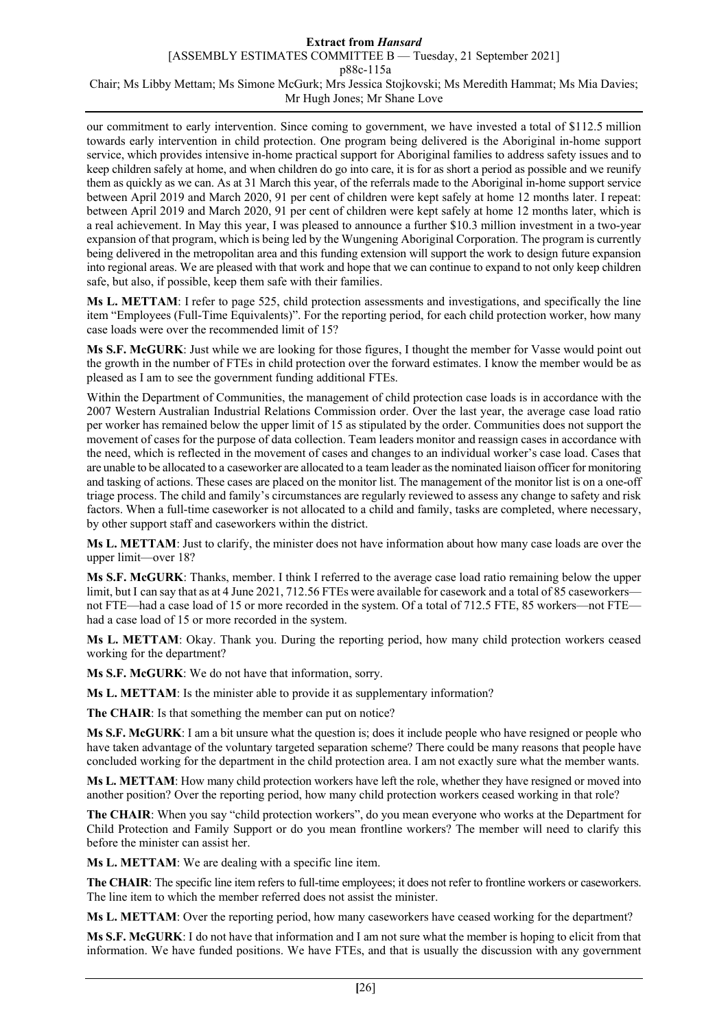[ASSEMBLY ESTIMATES COMMITTEE B — Tuesday, 21 September 2021]

p88c-115a

Chair; Ms Libby Mettam; Ms Simone McGurk; Mrs Jessica Stojkovski; Ms Meredith Hammat; Ms Mia Davies; Mr Hugh Jones; Mr Shane Love

our commitment to early intervention. Since coming to government, we have invested a total of \$112.5 million towards early intervention in child protection. One program being delivered is the Aboriginal in-home support service, which provides intensive in-home practical support for Aboriginal families to address safety issues and to keep children safely at home, and when children do go into care, it is for as short a period as possible and we reunify them as quickly as we can. As at 31 March this year, of the referrals made to the Aboriginal in-home support service between April 2019 and March 2020, 91 per cent of children were kept safely at home 12 months later. I repeat: between April 2019 and March 2020, 91 per cent of children were kept safely at home 12 months later, which is a real achievement. In May this year, I was pleased to announce a further \$10.3 million investment in a two-year expansion of that program, which is being led by the Wungening Aboriginal Corporation. The program is currently being delivered in the metropolitan area and this funding extension will support the work to design future expansion into regional areas. We are pleased with that work and hope that we can continue to expand to not only keep children safe, but also, if possible, keep them safe with their families.

**Ms L. METTAM**: I refer to page 525, child protection assessments and investigations, and specifically the line item "Employees (Full-Time Equivalents)". For the reporting period, for each child protection worker, how many case loads were over the recommended limit of 15?

**Ms S.F. McGURK**: Just while we are looking for those figures, I thought the member for Vasse would point out the growth in the number of FTEs in child protection over the forward estimates. I know the member would be as pleased as I am to see the government funding additional FTEs.

Within the Department of Communities, the management of child protection case loads is in accordance with the 2007 Western Australian Industrial Relations Commission order. Over the last year, the average case load ratio per worker has remained below the upper limit of 15 as stipulated by the order. Communities does not support the movement of cases for the purpose of data collection. Team leaders monitor and reassign cases in accordance with the need, which is reflected in the movement of cases and changes to an individual worker's case load. Cases that are unable to be allocated to a caseworker are allocated to a team leader as the nominated liaison officer for monitoring and tasking of actions. These cases are placed on the monitor list. The management of the monitor list is on a one-off triage process. The child and family's circumstances are regularly reviewed to assess any change to safety and risk factors. When a full-time caseworker is not allocated to a child and family, tasks are completed, where necessary, by other support staff and caseworkers within the district.

**Ms L. METTAM**: Just to clarify, the minister does not have information about how many case loads are over the upper limit—over 18?

**Ms S.F. McGURK**: Thanks, member. I think I referred to the average case load ratio remaining below the upper limit, but I can say that as at 4 June 2021, 712.56 FTEs were available for casework and a total of 85 caseworkers not FTE—had a case load of 15 or more recorded in the system. Of a total of 712.5 FTE, 85 workers—not FTE had a case load of 15 or more recorded in the system.

**Ms L. METTAM**: Okay. Thank you. During the reporting period, how many child protection workers ceased working for the department?

**Ms S.F. McGURK**: We do not have that information, sorry.

**Ms L. METTAM**: Is the minister able to provide it as supplementary information?

**The CHAIR**: Is that something the member can put on notice?

**Ms S.F. McGURK**: I am a bit unsure what the question is; does it include people who have resigned or people who have taken advantage of the voluntary targeted separation scheme? There could be many reasons that people have concluded working for the department in the child protection area. I am not exactly sure what the member wants.

**Ms L. METTAM**: How many child protection workers have left the role, whether they have resigned or moved into another position? Over the reporting period, how many child protection workers ceased working in that role?

**The CHAIR**: When you say "child protection workers", do you mean everyone who works at the Department for Child Protection and Family Support or do you mean frontline workers? The member will need to clarify this before the minister can assist her.

**Ms L. METTAM**: We are dealing with a specific line item.

The CHAIR: The specific line item refers to full-time employees; it does not refer to frontline workers or caseworkers. The line item to which the member referred does not assist the minister.

**Ms L. METTAM**: Over the reporting period, how many caseworkers have ceased working for the department?

**Ms S.F. McGURK**: I do not have that information and I am not sure what the member is hoping to elicit from that information. We have funded positions. We have FTEs, and that is usually the discussion with any government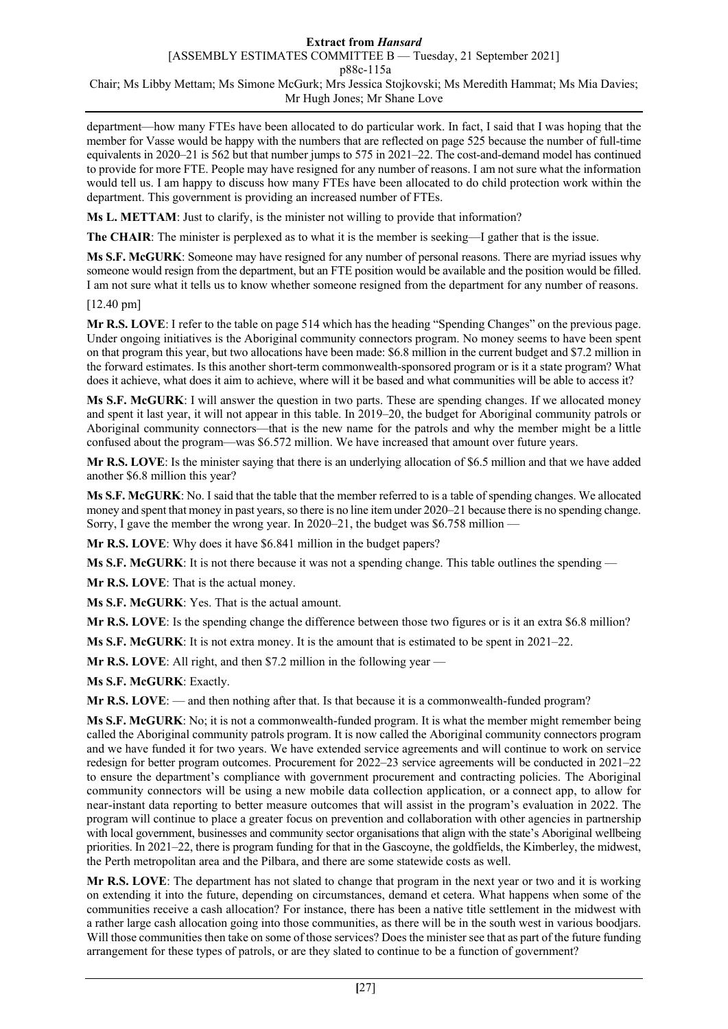department—how many FTEs have been allocated to do particular work. In fact, I said that I was hoping that the member for Vasse would be happy with the numbers that are reflected on page 525 because the number of full-time equivalents in 2020–21 is 562 but that number jumps to 575 in 2021–22. The cost-and-demand model has continued to provide for more FTE. People may have resigned for any number of reasons. I am not sure what the information would tell us. I am happy to discuss how many FTEs have been allocated to do child protection work within the department. This government is providing an increased number of FTEs.

**Ms L. METTAM**: Just to clarify, is the minister not willing to provide that information?

**The CHAIR**: The minister is perplexed as to what it is the member is seeking—I gather that is the issue.

**Ms S.F. McGURK**: Someone may have resigned for any number of personal reasons. There are myriad issues why someone would resign from the department, but an FTE position would be available and the position would be filled. I am not sure what it tells us to know whether someone resigned from the department for any number of reasons.

[12.40 pm]

**Mr R.S. LOVE**: I refer to the table on page 514 which has the heading "Spending Changes" on the previous page. Under ongoing initiatives is the Aboriginal community connectors program. No money seems to have been spent on that program this year, but two allocations have been made: \$6.8 million in the current budget and \$7.2 million in the forward estimates. Is this another short-term commonwealth-sponsored program or is it a state program? What does it achieve, what does it aim to achieve, where will it be based and what communities will be able to access it?

**Ms S.F. McGURK**: I will answer the question in two parts. These are spending changes. If we allocated money and spent it last year, it will not appear in this table. In 2019–20, the budget for Aboriginal community patrols or Aboriginal community connectors—that is the new name for the patrols and why the member might be a little confused about the program—was \$6.572 million. We have increased that amount over future years.

**Mr R.S. LOVE**: Is the minister saying that there is an underlying allocation of \$6.5 million and that we have added another \$6.8 million this year?

**Ms S.F. McGURK**: No. I said that the table that the member referred to is a table of spending changes. We allocated money and spent that money in past years, so there is no line item under 2020–21 because there is no spending change. Sorry, I gave the member the wrong year. In 2020–21, the budget was \$6.758 million —

**Mr R.S. LOVE**: Why does it have \$6.841 million in the budget papers?

**Ms S.F. McGURK**: It is not there because it was not a spending change. This table outlines the spending —

**Mr R.S. LOVE**: That is the actual money.

**Ms S.F. McGURK**: Yes. That is the actual amount.

**Mr R.S. LOVE**: Is the spending change the difference between those two figures or is it an extra \$6.8 million?

**Ms S.F. McGURK**: It is not extra money. It is the amount that is estimated to be spent in 2021–22.

**Mr R.S. LOVE**: All right, and then \$7.2 million in the following year —

**Ms S.F. McGURK**: Exactly.

**Mr R.S. LOVE**: — and then nothing after that. Is that because it is a commonwealth-funded program?

**Ms S.F. McGURK**: No; it is not a commonwealth-funded program. It is what the member might remember being called the Aboriginal community patrols program. It is now called the Aboriginal community connectors program and we have funded it for two years. We have extended service agreements and will continue to work on service redesign for better program outcomes. Procurement for 2022–23 service agreements will be conducted in 2021–22 to ensure the department's compliance with government procurement and contracting policies. The Aboriginal community connectors will be using a new mobile data collection application, or a connect app, to allow for near-instant data reporting to better measure outcomes that will assist in the program's evaluation in 2022. The program will continue to place a greater focus on prevention and collaboration with other agencies in partnership with local government, businesses and community sector organisations that align with the state's Aboriginal wellbeing priorities. In 2021–22, there is program funding for that in the Gascoyne, the goldfields, the Kimberley, the midwest, the Perth metropolitan area and the Pilbara, and there are some statewide costs as well.

**Mr R.S. LOVE**: The department has not slated to change that program in the next year or two and it is working on extending it into the future, depending on circumstances, demand et cetera. What happens when some of the communities receive a cash allocation? For instance, there has been a native title settlement in the midwest with a rather large cash allocation going into those communities, as there will be in the south west in various boodjars. Will those communities then take on some of those services? Does the minister see that as part of the future funding arrangement for these types of patrols, or are they slated to continue to be a function of government?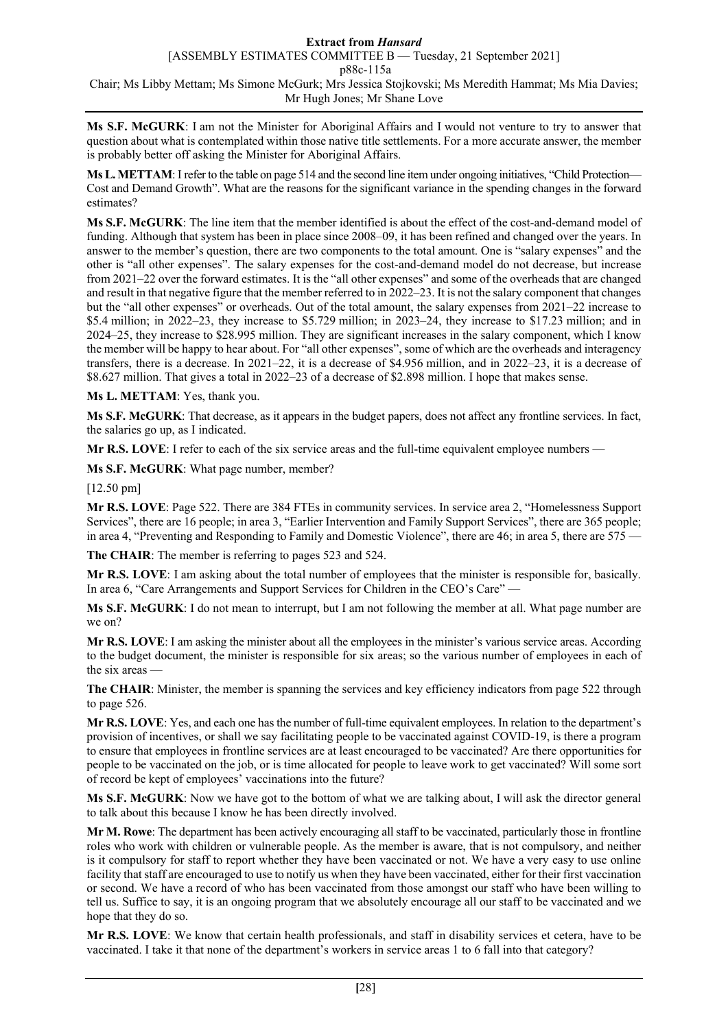**Ms S.F. McGURK**: I am not the Minister for Aboriginal Affairs and I would not venture to try to answer that question about what is contemplated within those native title settlements. For a more accurate answer, the member is probably better off asking the Minister for Aboriginal Affairs.

**Ms L. METTAM:** I refer to the table on page 514 and the second line item under ongoing initiatives, "Child Protection— Cost and Demand Growth". What are the reasons for the significant variance in the spending changes in the forward estimates?

**Ms S.F. McGURK**: The line item that the member identified is about the effect of the cost-and-demand model of funding. Although that system has been in place since 2008–09, it has been refined and changed over the years. In answer to the member's question, there are two components to the total amount. One is "salary expenses" and the other is "all other expenses". The salary expenses for the cost-and-demand model do not decrease, but increase from 2021–22 over the forward estimates. It is the "all other expenses" and some of the overheads that are changed and result in that negative figure that the member referred to in 2022–23. It is not the salary component that changes but the "all other expenses" or overheads. Out of the total amount, the salary expenses from 2021–22 increase to \$5.4 million; in 2022–23, they increase to \$5.729 million; in 2023–24, they increase to \$17.23 million; and in 2024–25, they increase to \$28.995 million. They are significant increases in the salary component, which I know the member will be happy to hear about. For "all other expenses", some of which are the overheads and interagency transfers, there is a decrease. In 2021–22, it is a decrease of \$4.956 million, and in 2022–23, it is a decrease of \$8.627 million. That gives a total in 2022–23 of a decrease of \$2.898 million. I hope that makes sense.

**Ms L. METTAM**: Yes, thank you.

**Ms S.F. McGURK**: That decrease, as it appears in the budget papers, does not affect any frontline services. In fact, the salaries go up, as I indicated.

**Mr R.S. LOVE**: I refer to each of the six service areas and the full-time equivalent employee numbers —

**Ms S.F. McGURK**: What page number, member?

[12.50 pm]

**Mr R.S. LOVE**: Page 522. There are 384 FTEs in community services. In service area 2, "Homelessness Support Services", there are 16 people; in area 3, "Earlier Intervention and Family Support Services", there are 365 people; in area 4, "Preventing and Responding to Family and Domestic Violence", there are 46; in area 5, there are 575 -

**The CHAIR**: The member is referring to pages 523 and 524.

**Mr R.S. LOVE**: I am asking about the total number of employees that the minister is responsible for, basically. In area 6, "Care Arrangements and Support Services for Children in the CEO's Care" -

**Ms S.F. McGURK**: I do not mean to interrupt, but I am not following the member at all. What page number are we on?

**Mr R.S. LOVE**: I am asking the minister about all the employees in the minister's various service areas. According to the budget document, the minister is responsible for six areas; so the various number of employees in each of the six areas —

**The CHAIR:** Minister, the member is spanning the services and key efficiency indicators from page 522 through to page 526.

**Mr R.S. LOVE**: Yes, and each one has the number of full-time equivalent employees. In relation to the department's provision of incentives, or shall we say facilitating people to be vaccinated against COVID-19, is there a program to ensure that employees in frontline services are at least encouraged to be vaccinated? Are there opportunities for people to be vaccinated on the job, or is time allocated for people to leave work to get vaccinated? Will some sort of record be kept of employees' vaccinations into the future?

**Ms S.F. McGURK**: Now we have got to the bottom of what we are talking about, I will ask the director general to talk about this because I know he has been directly involved.

**Mr M. Rowe**: The department has been actively encouraging all staff to be vaccinated, particularly those in frontline roles who work with children or vulnerable people. As the member is aware, that is not compulsory, and neither is it compulsory for staff to report whether they have been vaccinated or not. We have a very easy to use online facility that staff are encouraged to use to notify us when they have been vaccinated, either for their first vaccination or second. We have a record of who has been vaccinated from those amongst our staff who have been willing to tell us. Suffice to say, it is an ongoing program that we absolutely encourage all our staff to be vaccinated and we hope that they do so.

**Mr R.S. LOVE**: We know that certain health professionals, and staff in disability services et cetera, have to be vaccinated. I take it that none of the department's workers in service areas 1 to 6 fall into that category?